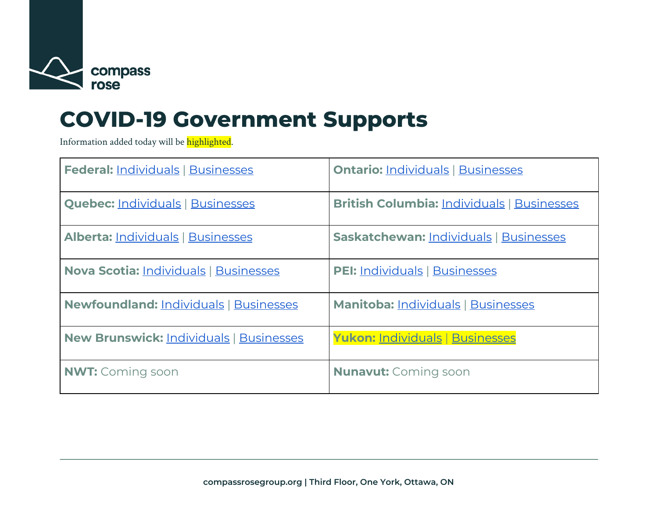

# **COVID-19 Government Supports**

Information added today will be highlighted.

| <b>Federal: Individuals   Businesses</b>       | <b>Ontario: Individuals   Businesses</b>          |
|------------------------------------------------|---------------------------------------------------|
| <b>Quebec: Individuals   Businesses</b>        | <b>British Columbia: Individuals   Businesses</b> |
| <b>Alberta: Individuals   Businesses</b>       | <b>Saskatchewan: Individuals   Businesses</b>     |
| <b>Nova Scotia: Individuals   Businesses</b>   | <b>PEI: Individuals   Businesses</b>              |
| Newfoundland: Individuals   Businesses         | <b>Manitoba: Individuals   Businesses</b>         |
| <b>New Brunswick: Individuals   Businesses</b> | Yukon: Individuals   Businesses                   |
| <b>NWT:</b> Coming soon                        | <b>Nunavut:</b> Coming soon                       |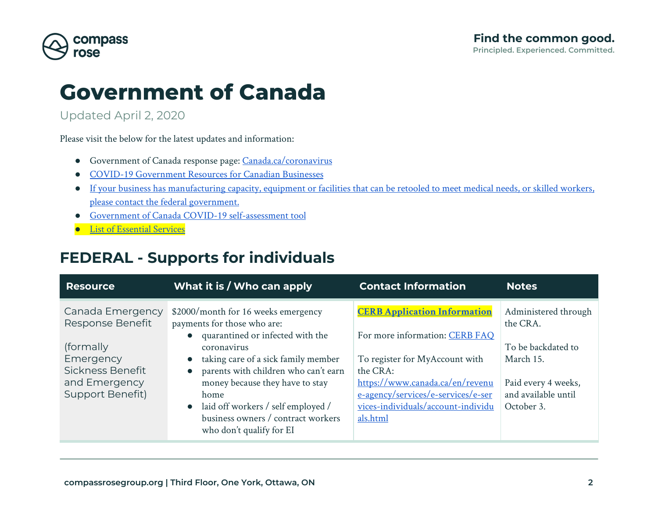

## **Government of Canada**

Updated April 2, 2020

Please visit the below for the latest updates and information:

- Government of Canada response page: [Canada.ca/coronavirus](http://canada.ca/coronavirus)
- [COVID-19 Government Resources for Canadian Businesses](https://www.canada.ca/en/services/business/maintaingrowimprovebusiness/resources-for-canadian-businesses.html)
- [If your business has manufacturing capacity, equipment or facilities that can be retooled to meet medical needs, or skilled workers,](https://www.canada.ca/en/services/business/maintaingrowimprovebusiness/manufacturers-needed.html) [please contact the federal government.](https://www.canada.ca/en/services/business/maintaingrowimprovebusiness/manufacturers-needed.html)
- [Government of Canada COVID-19 self-assessment tool](https://ca.thrive.health/covid19/en)
- [List of Essential Services](https://www.publicsafety.gc.ca/cnt/ntnl-scrt/crtcl-nfrstrctr/esf-sfe-en.aspx)

### <span id="page-1-0"></span>**FEDERAL - Supports for individuals**

| <b>Resource</b>                                                                                                         | What it is / Who can apply                                                                                                                                                                                                                                                                                                                              | <b>Contact Information</b>                                                                                                                                                                                                                     | <b>Notes</b>                                                                                                                    |
|-------------------------------------------------------------------------------------------------------------------------|---------------------------------------------------------------------------------------------------------------------------------------------------------------------------------------------------------------------------------------------------------------------------------------------------------------------------------------------------------|------------------------------------------------------------------------------------------------------------------------------------------------------------------------------------------------------------------------------------------------|---------------------------------------------------------------------------------------------------------------------------------|
| Canada Emergency<br>Response Benefit<br>(formally<br>Emergency<br>Sickness Benefit<br>and Emergency<br>Support Benefit) | \$2000/month for 16 weeks emergency<br>payments for those who are:<br>quarantined or infected with the<br>coronavirus<br>taking care of a sick family member<br>parents with children who can't earn<br>money because they have to stay<br>home<br>laid off workers / self employed /<br>business owners / contract workers<br>who don't qualify for EI | <b>CERB Application Information</b><br>For more information: CERB FAQ<br>To register for MyAccount with<br>the CRA:<br>https://www.canada.ca/en/revenu<br>e-agency/services/e-services/e-ser<br>vices-individuals/account-individu<br>als.html | Administered through<br>the CRA.<br>To be backdated to<br>March 15.<br>Paid every 4 weeks,<br>and available until<br>October 3. |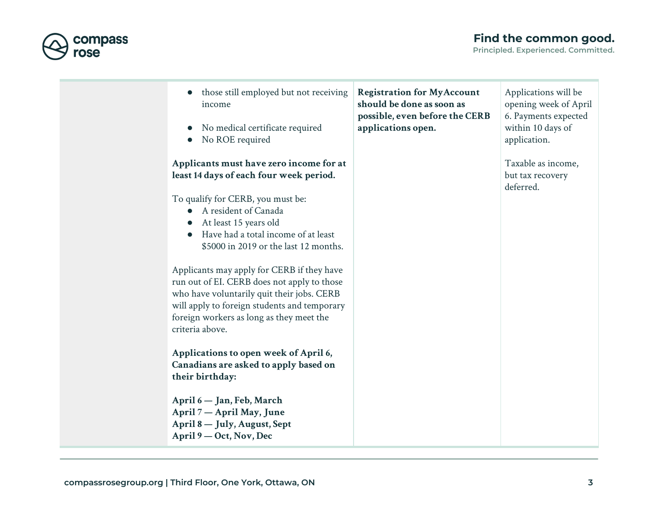



compass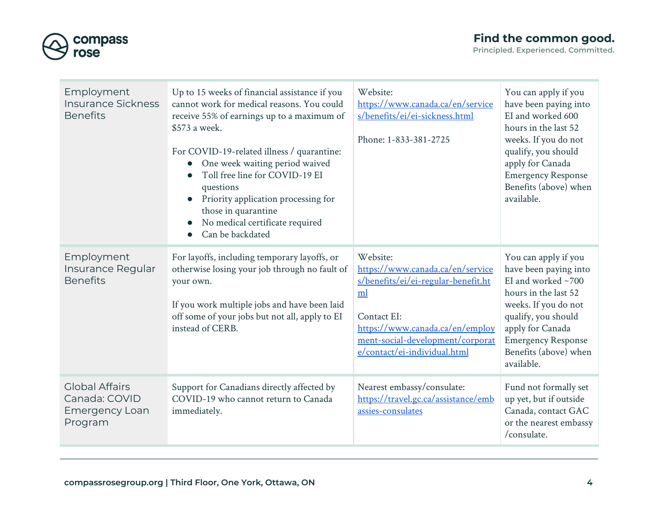

| Employment<br><b>Insurance Sickness</b><br><b>Benefits</b>                 | Up to 15 weeks of financial assistance if you<br>cannot work for medical reasons. You could<br>receive 55% of earnings up to a maximum of<br>\$573 a week.<br>For COVID-19-related illness / quarantine:<br>One week waiting period waived<br>Toll free line for COVID-19 EI<br>questions<br>Priority application processing for<br>those in quarantine<br>No medical certificate required<br>Can be backdated | Website:<br>https://www.canada.ca/en/service<br>s/benefits/ei/ei-sickness.html<br>Phone: 1-833-381-2725                                                                                                         | You can apply if you<br>have been paying into<br>EI and worked 600<br>hours in the last 52<br>weeks. If you do not<br>qualify, you should<br>apply for Canada<br><b>Emergency Response</b><br>Benefits (above) when<br>available.      |
|----------------------------------------------------------------------------|----------------------------------------------------------------------------------------------------------------------------------------------------------------------------------------------------------------------------------------------------------------------------------------------------------------------------------------------------------------------------------------------------------------|-----------------------------------------------------------------------------------------------------------------------------------------------------------------------------------------------------------------|----------------------------------------------------------------------------------------------------------------------------------------------------------------------------------------------------------------------------------------|
| Employment<br>Insurance Regular<br><b>Benefits</b>                         | For layoffs, including temporary layoffs, or<br>otherwise losing your job through no fault of<br>your own.<br>If you work multiple jobs and have been laid<br>off some of your jobs but not all, apply to EI<br>instead of CERB.                                                                                                                                                                               | Website:<br>https://www.canada.ca/en/service<br>s/benefits/ei/ei-regular-benefit.ht<br>ml<br>Contact EI:<br>https://www.canada.ca/en/employ<br>ment-social-development/corporat<br>e/contact/ei-individual.html | You can apply if you<br>have been paying into<br>EI and worked $~1$ 700<br>hours in the last 52<br>weeks. If you do not<br>qualify, you should<br>apply for Canada<br><b>Emergency Response</b><br>Benefits (above) when<br>available. |
| <b>Global Affairs</b><br>Canada: COVID<br><b>Emergency Loan</b><br>Program | Support for Canadians directly affected by<br>COVID-19 who cannot return to Canada<br>immediately.                                                                                                                                                                                                                                                                                                             | Nearest embassy/consulate:<br>https://travel.gc.ca/assistance/emb<br>assies-consulates                                                                                                                          | Fund not formally set<br>up yet, but if outside<br>Canada, contact GAC<br>or the nearest embassy<br>/consulate.                                                                                                                        |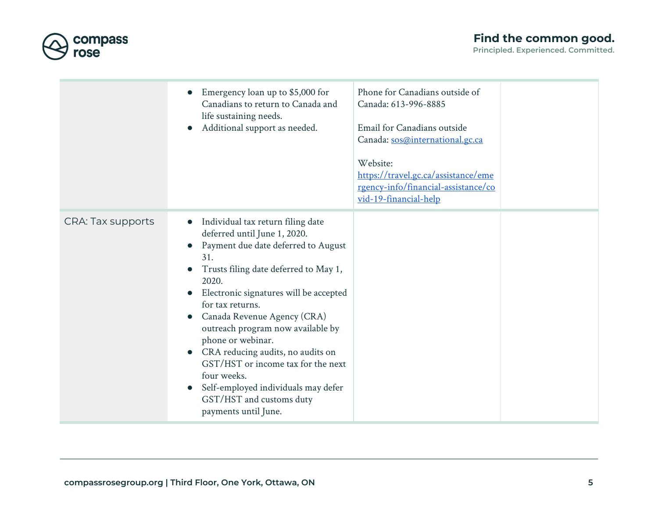



|                          | Emergency loan up to \$5,000 for<br>Canadians to return to Canada and<br>life sustaining needs.<br>Additional support as needed.<br>$\bullet$                                                                                                                                                                                                                                                                                                                                                                                                                                               | Phone for Canadians outside of<br>Canada: 613-996-8885<br>Email for Canadians outside<br>Canada: sos@international.gc.ca<br>Website:<br>https://travel.gc.ca/assistance/eme<br>rgency-info/financial-assistance/co<br>vid-19-financial-help |  |
|--------------------------|---------------------------------------------------------------------------------------------------------------------------------------------------------------------------------------------------------------------------------------------------------------------------------------------------------------------------------------------------------------------------------------------------------------------------------------------------------------------------------------------------------------------------------------------------------------------------------------------|---------------------------------------------------------------------------------------------------------------------------------------------------------------------------------------------------------------------------------------------|--|
| <b>CRA: Tax supports</b> | Individual tax return filing date<br>$\bullet$<br>deferred until June 1, 2020.<br>Payment due date deferred to August<br>$\bullet$<br>31.<br>Trusts filing date deferred to May 1,<br>$\bullet$<br>2020.<br>Electronic signatures will be accepted<br>for tax returns.<br>Canada Revenue Agency (CRA)<br>$\bullet$<br>outreach program now available by<br>phone or webinar.<br>CRA reducing audits, no audits on<br>$\bullet$<br>GST/HST or income tax for the next<br>four weeks.<br>Self-employed individuals may defer<br>$\bullet$<br>GST/HST and customs duty<br>payments until June. |                                                                                                                                                                                                                                             |  |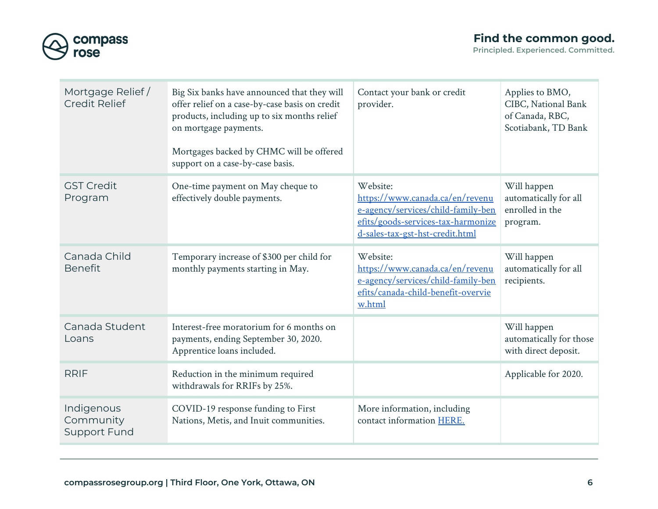

| Mortgage Relief/<br><b>Credit Relief</b>       | Big Six banks have announced that they will<br>offer relief on a case-by-case basis on credit<br>products, including up to six months relief<br>on mortgage payments.<br>Mortgages backed by CHMC will be offered<br>support on a case-by-case basis. | Contact your bank or credit<br>provider.                                                                                                                   | Applies to BMO,<br>CIBC, National Bank<br>of Canada, RBC,<br>Scotiabank, TD Bank |
|------------------------------------------------|-------------------------------------------------------------------------------------------------------------------------------------------------------------------------------------------------------------------------------------------------------|------------------------------------------------------------------------------------------------------------------------------------------------------------|----------------------------------------------------------------------------------|
| <b>GST Credit</b><br>Program                   | One-time payment on May cheque to<br>effectively double payments.                                                                                                                                                                                     | Website:<br>https://www.canada.ca/en/revenu<br>e-agency/services/child-family-ben<br>efits/goods-services-tax-harmonize<br>d-sales-tax-gst-hst-credit.html | Will happen<br>automatically for all<br>enrolled in the<br>program.              |
| Canada Child<br><b>Benefit</b>                 | Temporary increase of \$300 per child for<br>monthly payments starting in May.                                                                                                                                                                        | Website:<br>https://www.canada.ca/en/revenu<br>e-agency/services/child-family-ben<br>efits/canada-child-benefit-overvie<br>w.html                          | Will happen<br>automatically for all<br>recipients.                              |
| Canada Student<br>Loans                        | Interest-free moratorium for 6 months on<br>payments, ending September 30, 2020.<br>Apprentice loans included.                                                                                                                                        |                                                                                                                                                            | Will happen<br>automatically for those<br>with direct deposit.                   |
| <b>RRIF</b>                                    | Reduction in the minimum required<br>withdrawals for RRIFs by 25%.                                                                                                                                                                                    |                                                                                                                                                            | Applicable for 2020.                                                             |
| Indigenous<br>Community<br><b>Support Fund</b> | COVID-19 response funding to First<br>Nations, Metis, and Inuit communities.                                                                                                                                                                          | More information, including<br>contact information HERE.                                                                                                   |                                                                                  |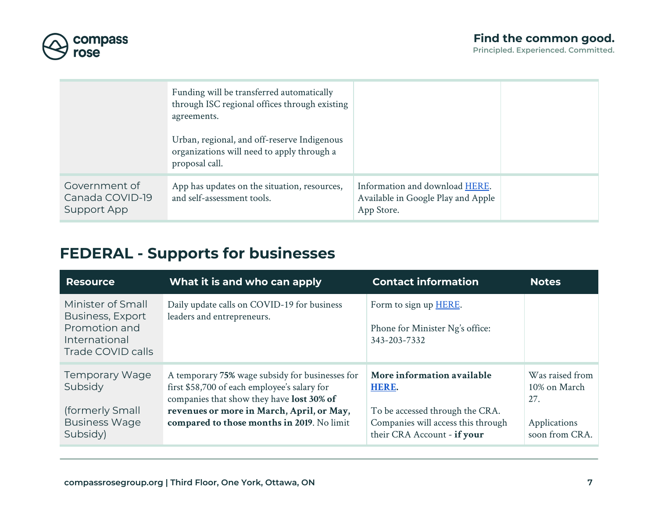



|                                                 | Funding will be transferred automatically<br>through ISC regional offices through existing<br>agreements.   |                                                                                    |  |
|-------------------------------------------------|-------------------------------------------------------------------------------------------------------------|------------------------------------------------------------------------------------|--|
|                                                 | Urban, regional, and off-reserve Indigenous<br>organizations will need to apply through a<br>proposal call. |                                                                                    |  |
| Government of<br>Canada COVID-19<br>Support App | App has updates on the situation, resources,<br>and self-assessment tools.                                  | Information and download HERE.<br>Available in Google Play and Apple<br>App Store. |  |

## <span id="page-6-0"></span>**FEDERAL - Supports for businesses**

| <b>Resource</b>                                                                              | What it is and who can apply                                                                                                                                                                                                            | <b>Contact information</b>                                                                                                                  | <b>Notes</b>                                                             |
|----------------------------------------------------------------------------------------------|-----------------------------------------------------------------------------------------------------------------------------------------------------------------------------------------------------------------------------------------|---------------------------------------------------------------------------------------------------------------------------------------------|--------------------------------------------------------------------------|
| Minister of Small<br>Business, Export<br>Promotion and<br>International<br>Trade COVID calls | Daily update calls on COVID-19 for business<br>leaders and entrepreneurs.                                                                                                                                                               | Form to sign up HERE.<br>Phone for Minister Ng's office:<br>343-203-7332                                                                    |                                                                          |
| <b>Temporary Wage</b><br>Subsidy<br>(formerly Small<br><b>Business Wage</b><br>Subsidy)      | A temporary 75% wage subsidy for businesses for<br>first \$58,700 of each employee's salary for<br>companies that show they have lost 30% of<br>revenues or more in March, April, or May,<br>compared to those months in 2019. No limit | More information available<br>HERE.<br>To be accessed through the CRA.<br>Companies will access this through<br>their CRA Account - if your | Was raised from<br>10% on March<br>27.<br>Applications<br>soon from CRA. |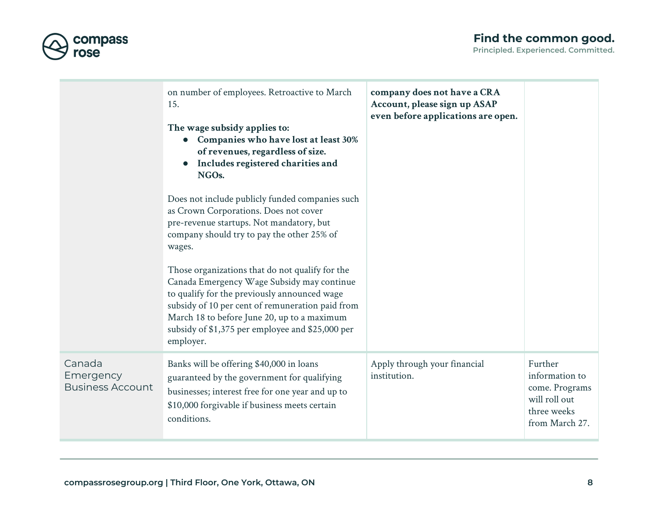



|                                                | on number of employees. Retroactive to March<br>15.<br>The wage subsidy applies to:<br><b>Companies who have lost at least 30%</b><br>of revenues, regardless of size.<br>Includes registered charities and<br>NGOs.<br>Does not include publicly funded companies such<br>as Crown Corporations. Does not cover<br>pre-revenue startups. Not mandatory, but<br>company should try to pay the other 25% of<br>wages.<br>Those organizations that do not qualify for the<br>Canada Emergency Wage Subsidy may continue<br>to qualify for the previously announced wage<br>subsidy of 10 per cent of remuneration paid from<br>March 18 to before June 20, up to a maximum<br>subsidy of \$1,375 per employee and \$25,000 per<br>employer. | company does not have a CRA<br>Account, please sign up ASAP<br>even before applications are open. |                                                                                               |
|------------------------------------------------|-------------------------------------------------------------------------------------------------------------------------------------------------------------------------------------------------------------------------------------------------------------------------------------------------------------------------------------------------------------------------------------------------------------------------------------------------------------------------------------------------------------------------------------------------------------------------------------------------------------------------------------------------------------------------------------------------------------------------------------------|---------------------------------------------------------------------------------------------------|-----------------------------------------------------------------------------------------------|
| Canada<br>Emergency<br><b>Business Account</b> | Banks will be offering \$40,000 in loans<br>guaranteed by the government for qualifying<br>businesses; interest free for one year and up to<br>\$10,000 forgivable if business meets certain<br>conditions.                                                                                                                                                                                                                                                                                                                                                                                                                                                                                                                               | Apply through your financial<br>institution.                                                      | Further<br>information to<br>come. Programs<br>will roll out<br>three weeks<br>from March 27. |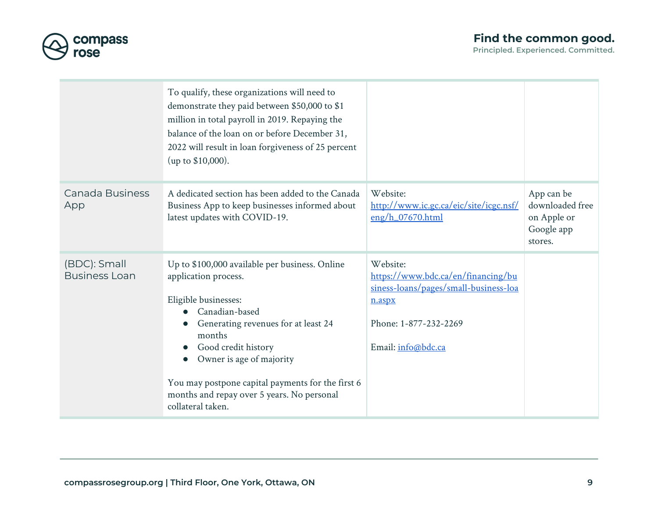



|                                      | To qualify, these organizations will need to<br>demonstrate they paid between \$50,000 to \$1<br>million in total payroll in 2019. Repaying the<br>balance of the loan on or before December 31,<br>2022 will result in loan forgiveness of 25 percent<br>(up to \$10,000).                                                                  |                                                                                                                                                  |                                                                       |
|--------------------------------------|----------------------------------------------------------------------------------------------------------------------------------------------------------------------------------------------------------------------------------------------------------------------------------------------------------------------------------------------|--------------------------------------------------------------------------------------------------------------------------------------------------|-----------------------------------------------------------------------|
| Canada Business<br>App               | A dedicated section has been added to the Canada<br>Business App to keep businesses informed about<br>latest updates with COVID-19.                                                                                                                                                                                                          | Website:<br>http://www.ic.gc.ca/eic/site/icgc.nsf/<br>$eng/h_07670.html$                                                                         | App can be<br>downloaded free<br>on Apple or<br>Google app<br>stores. |
| (BDC): Small<br><b>Business Loan</b> | Up to \$100,000 available per business. Online<br>application process.<br>Eligible businesses:<br>Canadian-based<br>Generating revenues for at least 24<br>months<br>Good credit history<br>Owner is age of majority<br>You may postpone capital payments for the first 6<br>months and repay over 5 years. No personal<br>collateral taken. | Website:<br>https://www.bdc.ca/en/financing/bu<br>siness-loans/pages/small-business-loa<br>n.aspx<br>Phone: 1-877-232-2269<br>Email: info@bdc.ca |                                                                       |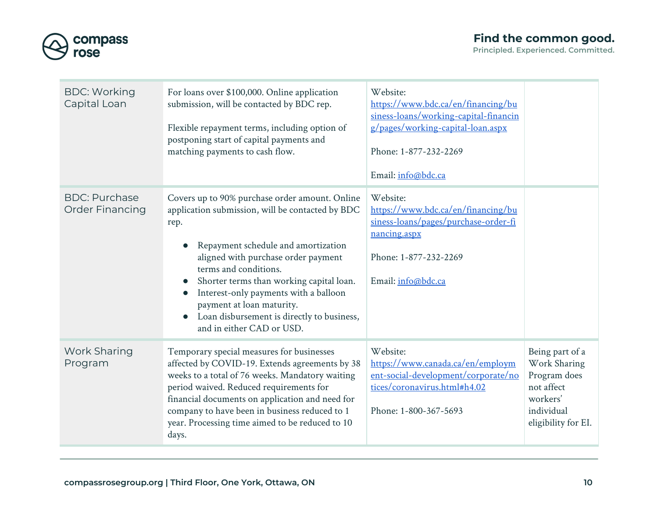

| <b>BDC: Working</b><br>Capital Loan            | For loans over \$100,000. Online application<br>submission, will be contacted by BDC rep.<br>Flexible repayment terms, including option of<br>postponing start of capital payments and<br>matching payments to cash flow.                                                                                                                                                                                                                             | Website:<br>https://www.bdc.ca/en/financing/bu<br>siness-loans/working-capital-financin<br>g/pages/working-capital-loan.aspx<br>Phone: 1-877-232-2269<br>Email: info@bdc.ca |                                                                                                                |
|------------------------------------------------|-------------------------------------------------------------------------------------------------------------------------------------------------------------------------------------------------------------------------------------------------------------------------------------------------------------------------------------------------------------------------------------------------------------------------------------------------------|-----------------------------------------------------------------------------------------------------------------------------------------------------------------------------|----------------------------------------------------------------------------------------------------------------|
| <b>BDC: Purchase</b><br><b>Order Financing</b> | Covers up to 90% purchase order amount. Online<br>application submission, will be contacted by BDC<br>rep.<br>Repayment schedule and amortization<br>aligned with purchase order payment<br>terms and conditions.<br>Shorter terms than working capital loan.<br>$\bullet$<br>Interest-only payments with a balloon<br>$\bullet$<br>payment at loan maturity.<br>Loan disbursement is directly to business,<br>$\bullet$<br>and in either CAD or USD. | Website:<br>https://www.bdc.ca/en/financing/bu<br>siness-loans/pages/purchase-order-fi<br>nancing.aspx<br>Phone: 1-877-232-2269<br>Email: info@bdc.ca                       |                                                                                                                |
| <b>Work Sharing</b><br>Program                 | Temporary special measures for businesses<br>affected by COVID-19. Extends agreements by 38<br>weeks to a total of 76 weeks. Mandatory waiting<br>period waived. Reduced requirements for<br>financial documents on application and need for<br>company to have been in business reduced to 1<br>year. Processing time aimed to be reduced to 10<br>days.                                                                                             | Website:<br>https://www.canada.ca/en/employm<br>ent-social-development/corporate/no<br>tices/coronavirus.html#h4.02<br>Phone: 1-800-367-5693                                | Being part of a<br>Work Sharing<br>Program does<br>not affect<br>workers'<br>individual<br>eligibility for EI. |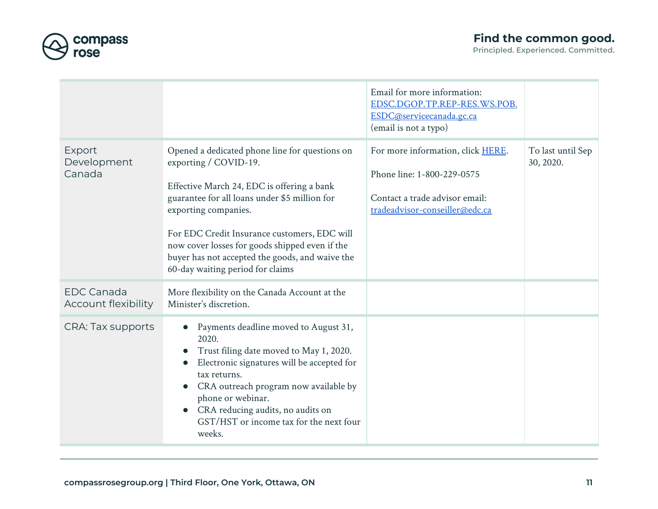

|                                          |                                                                                                                                                                                                                                                                                                                                                                                         | Email for more information:<br>EDSC.DGOP.TP.REP-RES.WS.POB.<br>ESDC@servicecanada.gc.ca<br>(email is not a typo)                    |                                |
|------------------------------------------|-----------------------------------------------------------------------------------------------------------------------------------------------------------------------------------------------------------------------------------------------------------------------------------------------------------------------------------------------------------------------------------------|-------------------------------------------------------------------------------------------------------------------------------------|--------------------------------|
| Export<br>Development<br>Canada          | Opened a dedicated phone line for questions on<br>exporting / COVID-19.<br>Effective March 24, EDC is offering a bank<br>guarantee for all loans under \$5 million for<br>exporting companies.<br>For EDC Credit Insurance customers, EDC will<br>now cover losses for goods shipped even if the<br>buyer has not accepted the goods, and waive the<br>60-day waiting period for claims | For more information, click HERE.<br>Phone line: 1-800-229-0575<br>Contact a trade advisor email:<br>tradeadvisor-conseiller@edc.ca | To last until Sep<br>30, 2020. |
| <b>EDC Canada</b><br>Account flexibility | More flexibility on the Canada Account at the<br>Minister's discretion.                                                                                                                                                                                                                                                                                                                 |                                                                                                                                     |                                |
| <b>CRA: Tax supports</b>                 | Payments deadline moved to August 31,<br>2020.<br>Trust filing date moved to May 1, 2020.<br>$\bullet$<br>Electronic signatures will be accepted for<br>tax returns.<br>CRA outreach program now available by<br>phone or webinar.<br>CRA reducing audits, no audits on<br>GST/HST or income tax for the next four<br>weeks.                                                            |                                                                                                                                     |                                |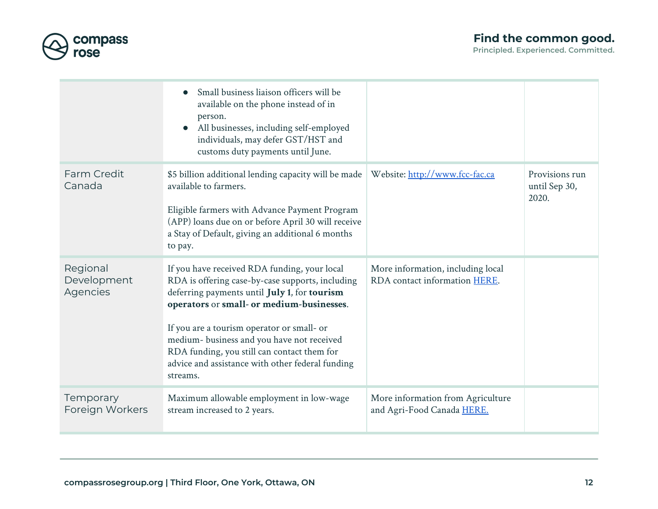

|                                     | Small business liaison officers will be<br>available on the phone instead of in<br>person.<br>All businesses, including self-employed<br>individuals, may defer GST/HST and<br>customs duty payments until June.                                                                                                                                                                                         |                                                                    |                                          |
|-------------------------------------|----------------------------------------------------------------------------------------------------------------------------------------------------------------------------------------------------------------------------------------------------------------------------------------------------------------------------------------------------------------------------------------------------------|--------------------------------------------------------------------|------------------------------------------|
| Farm Credit<br>Canada               | \$5 billion additional lending capacity will be made<br>available to farmers.<br>Eligible farmers with Advance Payment Program<br>(APP) loans due on or before April 30 will receive<br>a Stay of Default, giving an additional 6 months<br>to pay.                                                                                                                                                      | Website: http://www.fcc-fac.ca                                     | Provisions run<br>until Sep 30,<br>2020. |
| Regional<br>Development<br>Agencies | If you have received RDA funding, your local<br>RDA is offering case-by-case supports, including<br>deferring payments until July 1, for tourism<br>operators or small- or medium-businesses.<br>If you are a tourism operator or small- or<br>medium- business and you have not received<br>RDA funding, you still can contact them for<br>advice and assistance with other federal funding<br>streams. | More information, including local<br>RDA contact information HERE. |                                          |
| Temporary<br>Foreign Workers        | Maximum allowable employment in low-wage<br>stream increased to 2 years.                                                                                                                                                                                                                                                                                                                                 | More information from Agriculture<br>and Agri-Food Canada HERE.    |                                          |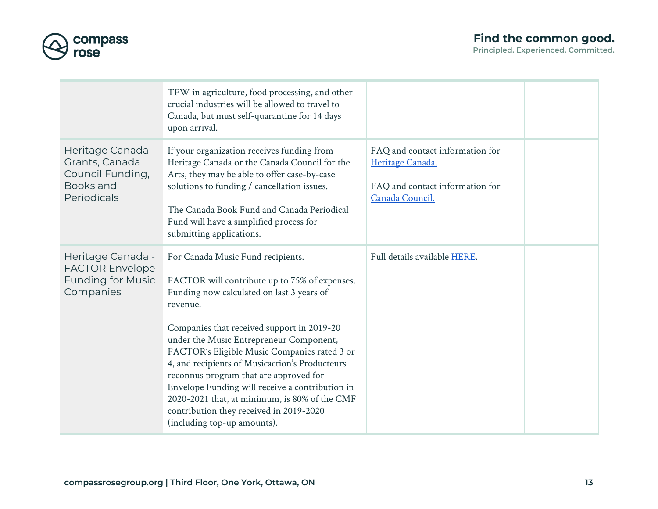

|                                                                                      | TFW in agriculture, food processing, and other<br>crucial industries will be allowed to travel to<br>Canada, but must self-quarantine for 14 days<br>upon arrival.                                                                                                                                                                                                                                                                                                                                                                                             |                                                                                                           |  |
|--------------------------------------------------------------------------------------|----------------------------------------------------------------------------------------------------------------------------------------------------------------------------------------------------------------------------------------------------------------------------------------------------------------------------------------------------------------------------------------------------------------------------------------------------------------------------------------------------------------------------------------------------------------|-----------------------------------------------------------------------------------------------------------|--|
| Heritage Canada -<br>Grants, Canada<br>Council Funding,<br>Books and<br>Periodicals  | If your organization receives funding from<br>Heritage Canada or the Canada Council for the<br>Arts, they may be able to offer case-by-case<br>solutions to funding / cancellation issues.<br>The Canada Book Fund and Canada Periodical<br>Fund will have a simplified process for<br>submitting applications.                                                                                                                                                                                                                                                | FAQ and contact information for<br>Heritage Canada.<br>FAQ and contact information for<br>Canada Council. |  |
| Heritage Canada -<br><b>FACTOR Envelope</b><br><b>Funding for Music</b><br>Companies | For Canada Music Fund recipients.<br>FACTOR will contribute up to 75% of expenses.<br>Funding now calculated on last 3 years of<br>revenue.<br>Companies that received support in 2019-20<br>under the Music Entrepreneur Component,<br>FACTOR's Eligible Music Companies rated 3 or<br>4, and recipients of Musicaction's Producteurs<br>reconnus program that are approved for<br>Envelope Funding will receive a contribution in<br>2020-2021 that, at minimum, is 80% of the CMF<br>contribution they received in 2019-2020<br>(including top-up amounts). | Full details available HERE.                                                                              |  |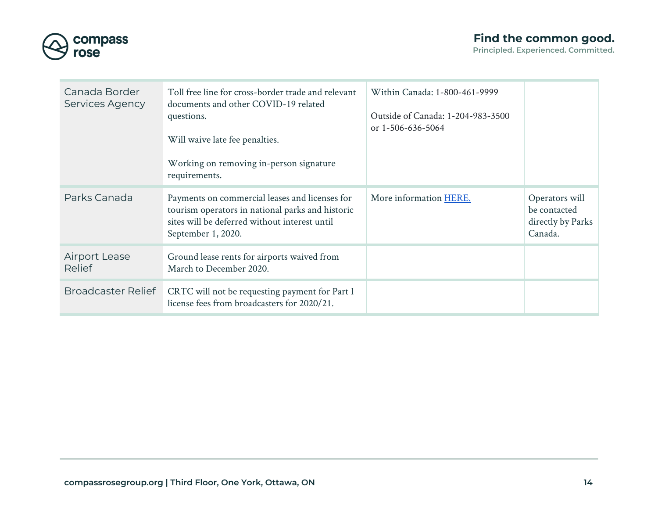



| Canada Border<br>Services Agency | Toll free line for cross-border trade and relevant<br>documents and other COVID-19 related<br>questions.<br>Will waive late fee penalties.<br>Working on removing in-person signature<br>requirements. | Within Canada: 1-800-461-9999<br>Outside of Canada: 1-204-983-3500<br>or 1-506-636-5064 |                                                                |
|----------------------------------|--------------------------------------------------------------------------------------------------------------------------------------------------------------------------------------------------------|-----------------------------------------------------------------------------------------|----------------------------------------------------------------|
| Parks Canada                     | Payments on commercial leases and licenses for<br>tourism operators in national parks and historic<br>sites will be deferred without interest until<br>September 1, 2020.                              | More information HERE.                                                                  | Operators will<br>be contacted<br>directly by Parks<br>Canada. |
| <b>Airport Lease</b><br>Relief   | Ground lease rents for airports waived from<br>March to December 2020.                                                                                                                                 |                                                                                         |                                                                |
| <b>Broadcaster Relief</b>        | CRTC will not be requesting payment for Part I<br>license fees from broadcasters for 2020/21.                                                                                                          |                                                                                         |                                                                |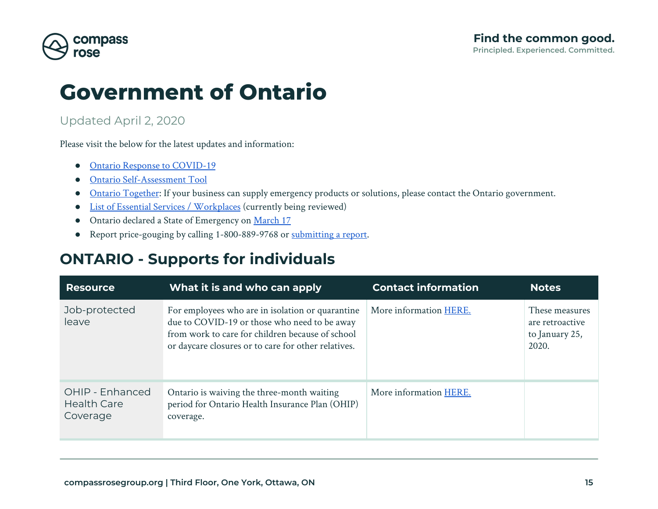

## **Government of Ontario**

#### Updated April 2, 2020

Please visit the below for the latest updates and information:

- [Ontario Response to COVID-19](https://www.ontario.ca/page/2019-novel-coronavirus)
- [Ontario Self-Assessment Tool](https://covid-19.ontario.ca/self-assessment/#q0)
- [Ontario Together](https://www.ontario.ca/page/how-your-organization-can-help-fight-coronavirus): If your business can supply emergency products or solutions, please contact the Ontario government.
- [List of Essential Services / Workplaces](https://s3.amazonaws.com/files.news.ontario.ca/opo/en/2020/03/list-of-essential-workplaces-2.html) (currently being reviewed)
- Ontario declared a State of Emergency on [March 17](https://news.ontario.ca/opo/en/2020/03/ontario-enacts-declaration-of-emergency-to-protect-the-public.html)
- Report price-gouging by calling 1-800-889-9768 or [submitting a report.](https://www.ontario.ca/form/report-price-gouging-related-covid-19)

### <span id="page-14-0"></span>**ONTARIO - Supports for individuals**

| <b>Resource</b>                                   | What it is and who can apply                                                                                                                                                                                | <b>Contact information</b> | <b>Notes</b>                                                 |
|---------------------------------------------------|-------------------------------------------------------------------------------------------------------------------------------------------------------------------------------------------------------------|----------------------------|--------------------------------------------------------------|
| Job-protected<br>leave                            | For employees who are in isolation or quarantine<br>due to COVID-19 or those who need to be away<br>from work to care for children because of school<br>or daycare closures or to care for other relatives. | More information HERE.     | These measures<br>are retroactive<br>to January 25,<br>2020. |
| OHIP - Enhanced<br><b>Health Care</b><br>Coverage | Ontario is waiving the three-month waiting<br>period for Ontario Health Insurance Plan (OHIP)<br>coverage.                                                                                                  | More information HERE.     |                                                              |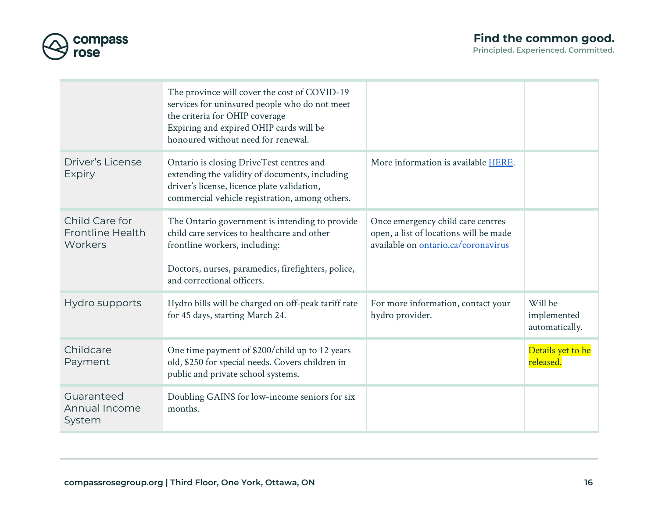

|                                                      | The province will cover the cost of COVID-19<br>services for uninsured people who do not meet<br>the criteria for OHIP coverage<br>Expiring and expired OHIP cards will be<br>honoured without need for renewal.   |                                                                                                                    |                                          |
|------------------------------------------------------|--------------------------------------------------------------------------------------------------------------------------------------------------------------------------------------------------------------------|--------------------------------------------------------------------------------------------------------------------|------------------------------------------|
| <b>Driver's License</b><br><b>Expiry</b>             | Ontario is closing DriveTest centres and<br>extending the validity of documents, including<br>driver's license, licence plate validation,<br>commercial vehicle registration, among others.                        | More information is available HERE.                                                                                |                                          |
| Child Care for<br><b>Frontline Health</b><br>Workers | The Ontario government is intending to provide<br>child care services to healthcare and other<br>frontline workers, including:<br>Doctors, nurses, paramedics, firefighters, police,<br>and correctional officers. | Once emergency child care centres<br>open, a list of locations will be made<br>available on ontario.ca/coronavirus |                                          |
| Hydro supports                                       | Hydro bills will be charged on off-peak tariff rate<br>for 45 days, starting March 24.                                                                                                                             | For more information, contact your<br>hydro provider.                                                              | Will be<br>implemented<br>automatically. |
| Childcare<br>Payment                                 | One time payment of \$200/child up to 12 years<br>old, \$250 for special needs. Covers children in<br>public and private school systems.                                                                           |                                                                                                                    | Details yet to be<br>released.           |
| Guaranteed<br>Annual Income<br>System                | Doubling GAINS for low-income seniors for six<br>months.                                                                                                                                                           |                                                                                                                    |                                          |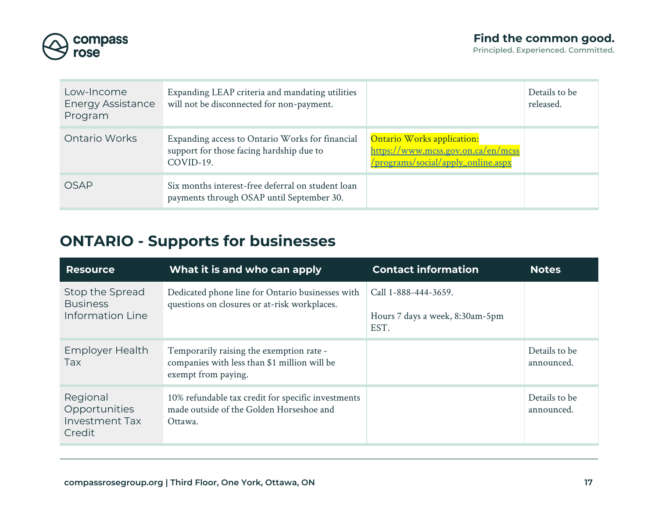

| Low-Income<br><b>Energy Assistance</b><br>Program | Expanding LEAP criteria and mandating utilities<br>will not be disconnected for non-payment.             |                                                                                                               | Details to be<br>released. |
|---------------------------------------------------|----------------------------------------------------------------------------------------------------------|---------------------------------------------------------------------------------------------------------------|----------------------------|
| Ontario Works                                     | Expanding access to Ontario Works for financial<br>support for those facing hardship due to<br>COVID-19. | <b>Ontario Works application:</b><br>https://www.mcss.gov.on.ca/en/mcss<br>/programs/social/apply_online.aspx |                            |
| OSAP                                              | Six months interest-free deferral on student loan<br>payments through OSAP until September 30.           |                                                                                                               |                            |

## <span id="page-16-0"></span>**ONTARIO - Supports for businesses**

| <b>Resource</b>                                              | What it is and who can apply                                                                                    | <b>Contact information</b>                                      | <b>Notes</b>                |
|--------------------------------------------------------------|-----------------------------------------------------------------------------------------------------------------|-----------------------------------------------------------------|-----------------------------|
| Stop the Spread<br><b>Business</b><br>Information Line       | Dedicated phone line for Ontario businesses with<br>questions on closures or at-risk workplaces.                | Call 1-888-444-3659.<br>Hours 7 days a week, 8:30am-5pm<br>EST. |                             |
| <b>Employer Health</b><br><b>Tax</b>                         | Temporarily raising the exemption rate -<br>companies with less than \$1 million will be<br>exempt from paying. |                                                                 | Details to be<br>announced. |
| Regional<br>Opportunities<br><b>Investment Tax</b><br>Credit | 10% refundable tax credit for specific investments<br>made outside of the Golden Horseshoe and<br>Ottawa.       |                                                                 | Details to be<br>announced. |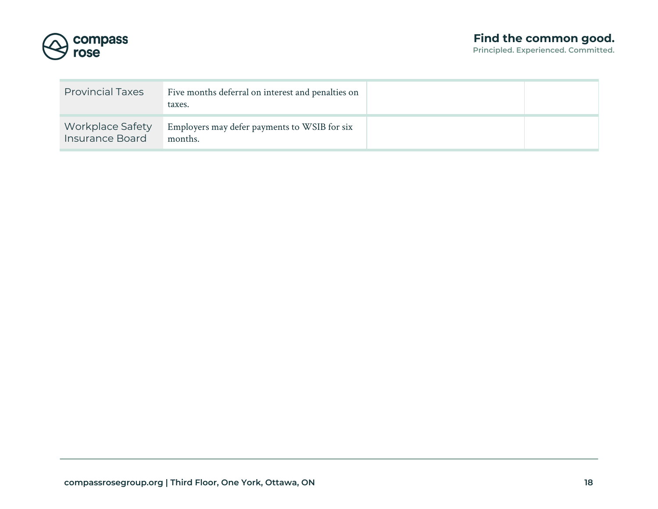

| <b>Provincial Taxes</b>             | Five months deferral on interest and penalties on<br>taxes. |  |
|-------------------------------------|-------------------------------------------------------------|--|
| Workplace Safety<br>Insurance Board | Employers may defer payments to WSIB for six<br>months.     |  |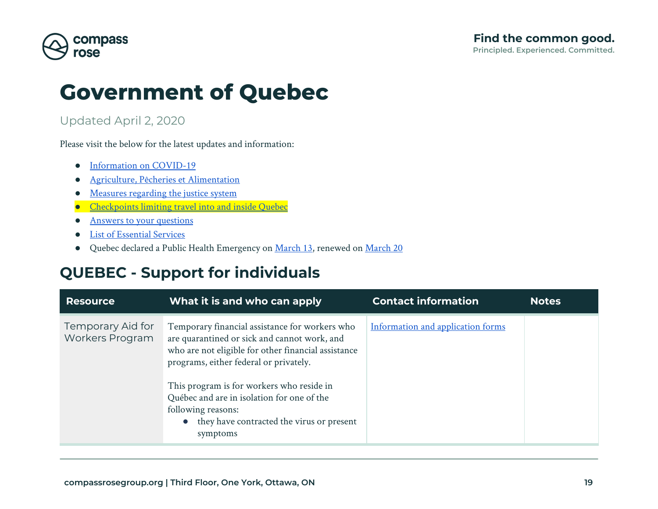

## **Government of Quebec**

#### Updated April 2, 2020

Please visit the below for the latest updates and information:

- [Information on COVID-19](https://www.quebec.ca/en/health/health-issues/a-z/2019-coronavirus/)
- [Agriculture, Pêcheries et Alimentation](https://www.mapaq.gouv.qc.ca/SiteCollectionDocuments/Avis_publicite/English_Questions-ReponseclientelesMAPAQ.pdf)
- [Measures regarding the justice system](https://www.justice.gouv.qc.ca/fileadmin/user_upload/contenu/documents/En__Anglais_/centredoc/covid-19/Q-R_Covid-19-a.pdf)
- [Checkpoints limiting travel into and inside Quebec](http://www.fil-information.gouv.qc.ca/Pages/Article.aspx?lang=en&idArticle=2804018824)
- **[Answers to your questions](https://www.quebec.ca/en/health/health-issues/a-z/2019-coronavirus/answers-questions-coronavirus-covid19/)**
- [List of Essential Services](https://www.quebec.ca/en/health/health-issues/a-z/2019-coronavirus/essential-services-commercial-activities-covid19/)
- Quebec declared a Public Health Emergency on [March 13](https://cdn-contenu.quebec.ca/cdn-contenu/adm/min/sante-services-sociaux/publications-adm/lois-reglements/decret-177-2020.pdf?1584224223), renewed on [March 20](https://cdn-contenu.quebec.ca/cdn-contenu/adm/min/sante-services-sociaux/publications-adm/lois-reglements/decret-222-2020-anglais.pdf?1584827459)

## <span id="page-18-0"></span>**QUEBEC - Support for individuals**

| <b>Resource</b>                      | What it is and who can apply                                                                                                                                                                                                                                                                                                                                                | <b>Contact information</b>        | <b>Notes</b> |
|--------------------------------------|-----------------------------------------------------------------------------------------------------------------------------------------------------------------------------------------------------------------------------------------------------------------------------------------------------------------------------------------------------------------------------|-----------------------------------|--------------|
| Temporary Aid for<br>Workers Program | Temporary financial assistance for workers who<br>are quarantined or sick and cannot work, and<br>who are not eligible for other financial assistance<br>programs, either federal or privately.<br>This program is for workers who reside in<br>Québec and are in isolation for one of the<br>following reasons:<br>• they have contracted the virus or present<br>symptoms | Information and application forms |              |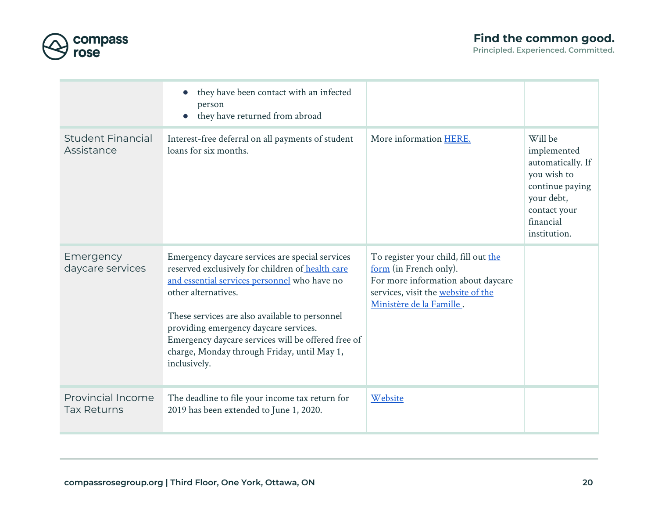

|                                         | they have been contact with an infected<br>$\bullet$<br>person<br>they have returned from abroad<br>$\bullet$                                                                                                                                                                                                                                                                              |                                                                                                                                                                        |                                                                                                                                          |
|-----------------------------------------|--------------------------------------------------------------------------------------------------------------------------------------------------------------------------------------------------------------------------------------------------------------------------------------------------------------------------------------------------------------------------------------------|------------------------------------------------------------------------------------------------------------------------------------------------------------------------|------------------------------------------------------------------------------------------------------------------------------------------|
| <b>Student Financial</b><br>Assistance  | Interest-free deferral on all payments of student<br>loans for six months.                                                                                                                                                                                                                                                                                                                 | More information HERE.                                                                                                                                                 | Will be<br>implemented<br>automatically. If<br>you wish to<br>continue paying<br>your debt,<br>contact your<br>financial<br>institution. |
| Emergency<br>daycare services           | Emergency daycare services are special services<br>reserved exclusively for children of health care<br>and essential services personnel who have no<br>other alternatives.<br>These services are also available to personnel<br>providing emergency daycare services.<br>Emergency daycare services will be offered free of<br>charge, Monday through Friday, until May 1,<br>inclusively. | To register your child, fill out the<br>form (in French only).<br>For more information about daycare<br>services, visit the website of the<br>Ministère de la Famille. |                                                                                                                                          |
| Provincial Income<br><b>Tax Returns</b> | The deadline to file your income tax return for<br>2019 has been extended to June 1, 2020.                                                                                                                                                                                                                                                                                                 | Website                                                                                                                                                                |                                                                                                                                          |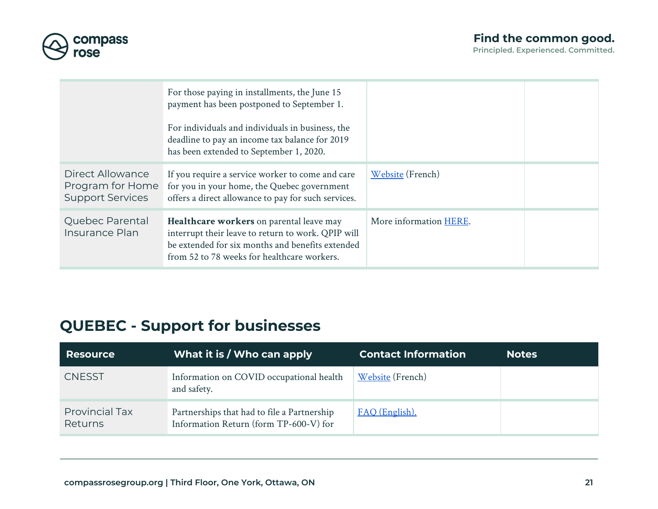

|                                                                 | For those paying in installments, the June 15<br>payment has been postponed to September 1.<br>For individuals and individuals in business, the<br>deadline to pay an income tax balance for 2019<br>has been extended to September 1, 2020. |                        |  |
|-----------------------------------------------------------------|----------------------------------------------------------------------------------------------------------------------------------------------------------------------------------------------------------------------------------------------|------------------------|--|
| Direct Allowance<br>Program for Home<br><b>Support Services</b> | If you require a service worker to come and care<br>for you in your home, the Quebec government<br>offers a direct allowance to pay for such services.                                                                                       | Website (French)       |  |
| Quebec Parental<br>Insurance Plan                               | Healthcare workers on parental leave may<br>interrupt their leave to return to work. QPIP will<br>be extended for six months and benefits extended<br>from 52 to 78 weeks for healthcare workers.                                            | More information HERE. |  |

## <span id="page-20-0"></span>**QUEBEC - Support for businesses**

| <b>Resource</b>                  | What it is / Who can apply                                                            | <b>Contact Information</b> | <b>Notes</b> |
|----------------------------------|---------------------------------------------------------------------------------------|----------------------------|--------------|
| <b>CNESST</b>                    | Information on COVID occupational health<br>and safety.                               | Website (French)           |              |
| <b>Provincial Tax</b><br>Returns | Partnerships that had to file a Partnership<br>Information Return (form TP-600-V) for | FAQ (English).             |              |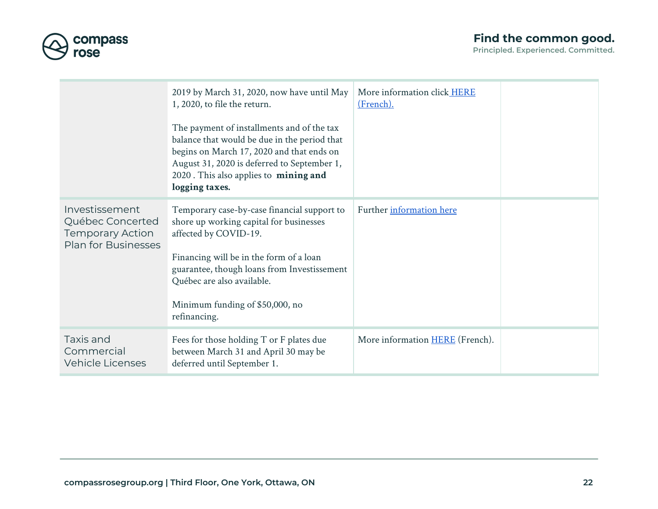

|                                                                                             | 2019 by March 31, 2020, now have until May<br>1, 2020, to file the return.<br>The payment of installments and of the tax<br>balance that would be due in the period that<br>begins on March 17, 2020 and that ends on<br>August 31, 2020 is deferred to September 1,<br>2020. This also applies to mining and<br>logging taxes. | More information click HERE<br>(French). |  |
|---------------------------------------------------------------------------------------------|---------------------------------------------------------------------------------------------------------------------------------------------------------------------------------------------------------------------------------------------------------------------------------------------------------------------------------|------------------------------------------|--|
| Investissement<br>Québec Concerted<br><b>Temporary Action</b><br><b>Plan for Businesses</b> | Temporary case-by-case financial support to<br>shore up working capital for businesses<br>affected by COVID-19.<br>Financing will be in the form of a loan<br>guarantee, though loans from Investissement<br>Québec are also available.<br>Minimum funding of \$50,000, no<br>refinancing.                                      | Further information here                 |  |
| Taxis and<br>Commercial<br><b>Vehicle Licenses</b>                                          | Fees for those holding T or F plates due<br>between March 31 and April 30 may be<br>deferred until September 1.                                                                                                                                                                                                                 | More information <b>HERE</b> (French).   |  |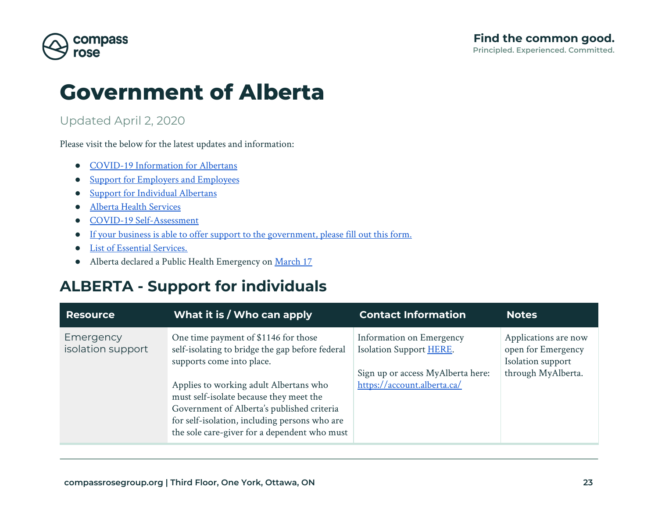

## **Government of Alberta**

#### Updated April 2, 2020

Please visit the below for the latest updates and information:

- [COVID-19 Information for Albertans](https://www.alberta.ca/coronavirus-info-for-albertans.aspx)
- [Support for Employers and Employees](https://www.alberta.ca/covid-19-support-for-employers.aspx)
- [Support for Individual Albertans](https://www.alberta.ca/covid-19-supports-for-albertans.aspx)
- [Alberta Health Services](https://www.albertahealthservices.ca/topics/Page16944.aspx)
- [COVID-19 Self-Assessment](https://myhealth.alberta.ca/Journey/COVID-19/Pages/COVID-Self-Assessment.aspx)
- [If your business is able to offer support to the government, please fill out this form.](https://survey123.arcgis.com/share/4d1261e6d08f4d2eb530c53cc089242c)
- [List of Essential Services.](https://www.alberta.ca/essential-services.aspx)
- Alberta declared a Public Health Emergency on [March 17](https://www.alberta.ca/release.cfm?xID=69828242A5FFC-D75A-C83E-690D8028C0C4E09F)

## <span id="page-22-0"></span>**ALBERTA - Support for individuals**

| <b>Resource</b>                | What it is / Who can apply                                                                                                                                                                                                                                                                                                                               | <b>Contact Information</b>                                                                                              | <b>Notes</b>                                                                          |
|--------------------------------|----------------------------------------------------------------------------------------------------------------------------------------------------------------------------------------------------------------------------------------------------------------------------------------------------------------------------------------------------------|-------------------------------------------------------------------------------------------------------------------------|---------------------------------------------------------------------------------------|
| Emergency<br>isolation support | One time payment of \$1146 for those<br>self-isolating to bridge the gap before federal<br>supports come into place.<br>Applies to working adult Albertans who<br>must self-isolate because they meet the<br>Government of Alberta's published criteria<br>for self-isolation, including persons who are<br>the sole care-giver for a dependent who must | Information on Emergency<br>Isolation Support HERE.<br>Sign up or access MyAlberta here:<br>https://account.alberta.ca/ | Applications are now<br>open for Emergency<br>Isolation support<br>through MyAlberta. |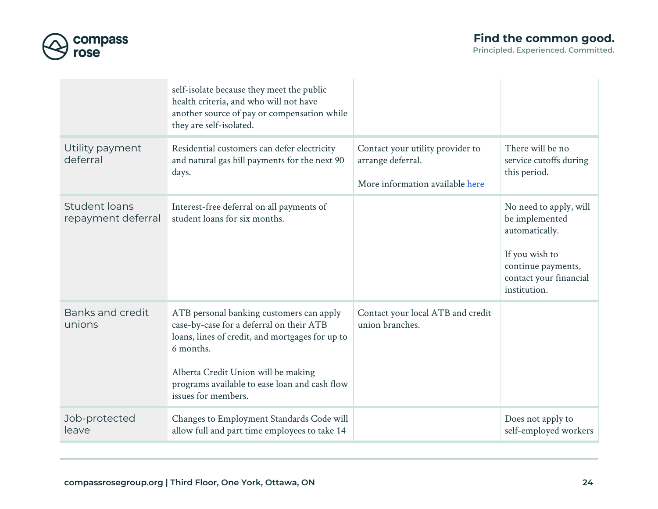

| Principled. Experienced. Committed. |  |
|-------------------------------------|--|
|                                     |  |

|                                     | self-isolate because they meet the public<br>health criteria, and who will not have<br>another source of pay or compensation while<br>they are self-isolated.                                                                                                       |                                                                                          |                                                                                                                                              |
|-------------------------------------|---------------------------------------------------------------------------------------------------------------------------------------------------------------------------------------------------------------------------------------------------------------------|------------------------------------------------------------------------------------------|----------------------------------------------------------------------------------------------------------------------------------------------|
| Utility payment<br>deferral         | Residential customers can defer electricity<br>and natural gas bill payments for the next 90<br>days.                                                                                                                                                               | Contact your utility provider to<br>arrange deferral.<br>More information available here | There will be no<br>service cutoffs during<br>this period.                                                                                   |
| Student loans<br>repayment deferral | Interest-free deferral on all payments of<br>student loans for six months.                                                                                                                                                                                          |                                                                                          | No need to apply, will<br>be implemented<br>automatically.<br>If you wish to<br>continue payments,<br>contact your financial<br>institution. |
| Banks and credit<br>unions          | ATB personal banking customers can apply<br>case-by-case for a deferral on their ATB<br>loans, lines of credit, and mortgages for up to<br>6 months.<br>Alberta Credit Union will be making<br>programs available to ease loan and cash flow<br>issues for members. | Contact your local ATB and credit<br>union branches.                                     |                                                                                                                                              |
| Job-protected<br>leave              | Changes to Employment Standards Code will<br>allow full and part time employees to take 14                                                                                                                                                                          |                                                                                          | Does not apply to<br>self-employed workers                                                                                                   |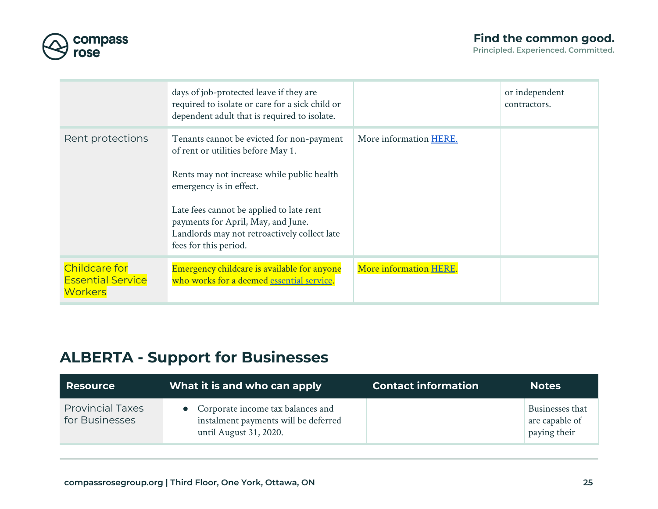

|                                                                    | days of job-protected leave if they are<br>required to isolate or care for a sick child or<br>dependent adult that is required to isolate.                                                                                                                                                                          |                        | or independent<br>contractors. |
|--------------------------------------------------------------------|---------------------------------------------------------------------------------------------------------------------------------------------------------------------------------------------------------------------------------------------------------------------------------------------------------------------|------------------------|--------------------------------|
| Rent protections                                                   | Tenants cannot be evicted for non-payment<br>of rent or utilities before May 1.<br>Rents may not increase while public health<br>emergency is in effect.<br>Late fees cannot be applied to late rent<br>payments for April, May, and June.<br>Landlords may not retroactively collect late<br>fees for this period. | More information HERE. |                                |
| <b>Childcare for</b><br><b>Essential Service</b><br><b>Workers</b> | Emergency childcare is available for anyone<br>who works for a deemed essential service.                                                                                                                                                                                                                            | More information HERE. |                                |

## <span id="page-24-0"></span>**ALBERTA - Support for Businesses**

| <b>Resource</b>                           | What it is and who can apply                                                                        | <b>Contact information</b> | <b>Notes</b>                                      |
|-------------------------------------------|-----------------------------------------------------------------------------------------------------|----------------------------|---------------------------------------------------|
| <b>Provincial Taxes</b><br>for Businesses | Corporate income tax balances and<br>instalment payments will be deferred<br>until August 31, 2020. |                            | Businesses that<br>are capable of<br>paying their |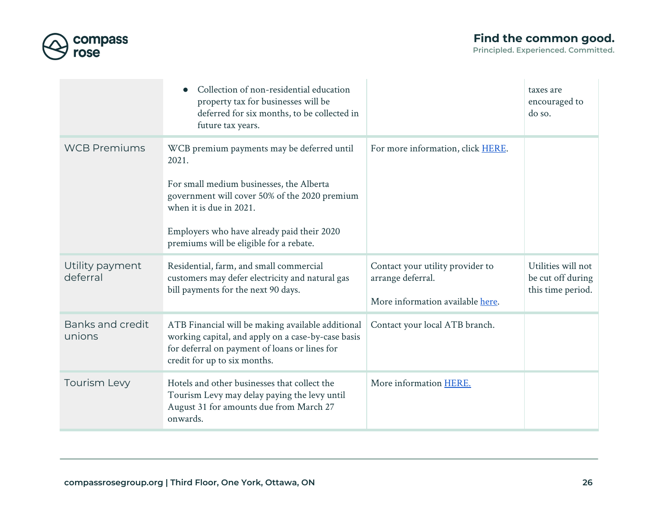

|                             | Collection of non-residential education<br>property tax for businesses will be<br>deferred for six months, to be collected in<br>future tax years.                                                                                                                   |                                                                                           | taxes are<br>encouraged to<br>do so.                         |
|-----------------------------|----------------------------------------------------------------------------------------------------------------------------------------------------------------------------------------------------------------------------------------------------------------------|-------------------------------------------------------------------------------------------|--------------------------------------------------------------|
| <b>WCB Premiums</b>         | WCB premium payments may be deferred until<br>2021.<br>For small medium businesses, the Alberta<br>government will cover 50% of the 2020 premium<br>when it is due in 2021.<br>Employers who have already paid their 2020<br>premiums will be eligible for a rebate. | For more information, click HERE.                                                         |                                                              |
| Utility payment<br>deferral | Residential, farm, and small commercial<br>customers may defer electricity and natural gas<br>bill payments for the next 90 days.                                                                                                                                    | Contact your utility provider to<br>arrange deferral.<br>More information available here. | Utilities will not<br>be cut off during<br>this time period. |
| Banks and credit<br>unions  | ATB Financial will be making available additional<br>working capital, and apply on a case-by-case basis<br>for deferral on payment of loans or lines for<br>credit for up to six months.                                                                             | Contact your local ATB branch.                                                            |                                                              |
| <b>Tourism Levy</b>         | Hotels and other businesses that collect the<br>Tourism Levy may delay paying the levy until<br>August 31 for amounts due from March 27<br>onwards.                                                                                                                  | More information HERE.                                                                    |                                                              |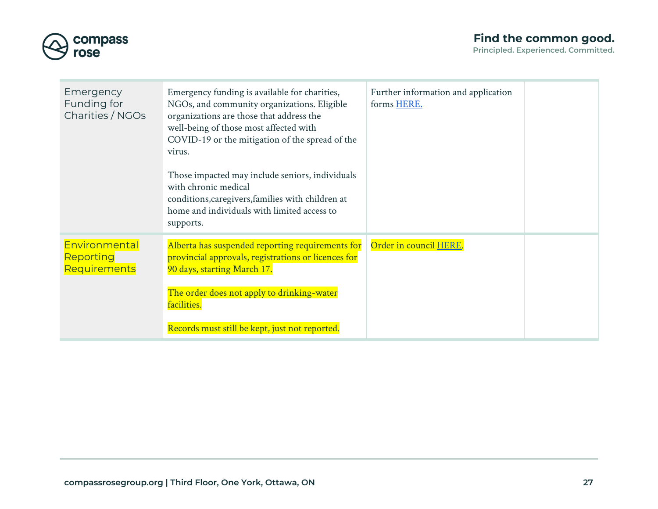



| Emergency<br>Funding for<br>Charities / NGOs      | Emergency funding is available for charities,<br>NGOs, and community organizations. Eligible<br>organizations are those that address the<br>well-being of those most affected with<br>COVID-19 or the mitigation of the spread of the<br>virus.<br>Those impacted may include seniors, individuals<br>with chronic medical<br>conditions, caregivers, families with children at<br>home and individuals with limited access to<br>supports. | Further information and application<br>forms HERE. |  |
|---------------------------------------------------|---------------------------------------------------------------------------------------------------------------------------------------------------------------------------------------------------------------------------------------------------------------------------------------------------------------------------------------------------------------------------------------------------------------------------------------------|----------------------------------------------------|--|
| Environmental<br><b>Reporting</b><br>Requirements | Alberta has suspended reporting requirements for<br>provincial approvals, registrations or licences for<br>90 days, starting March 17.<br>The order does not apply to drinking-water<br>facilities.<br>Records must still be kept, just not reported.                                                                                                                                                                                       | Order in council HERE.                             |  |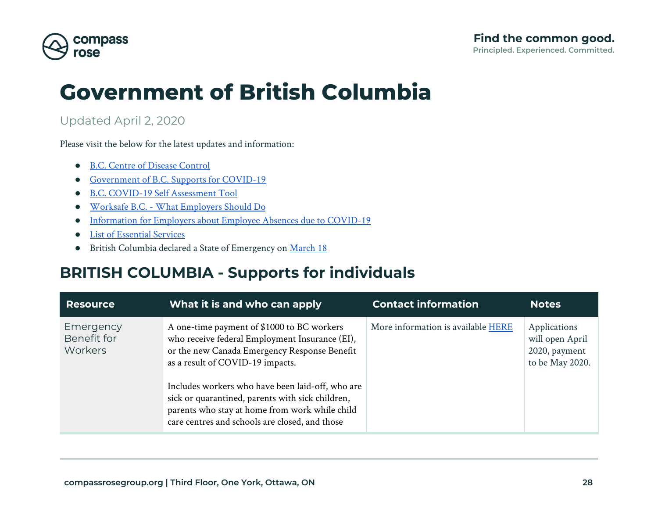

# **Government of British Columbia**

#### Updated April 2, 2020

Please visit the below for the latest updates and information:

- [B.C. Centre of Disease Control](http://www.bccdc.ca/health-info/diseases-conditions/covid-19?utm_campaign=20200311_GCPE_AM_COVID_2_NOTIFICATION_BCGOV_BCGOV_EN_BC__NOTIFICATION)
- [Government of B.C. Supports for COVID-19](https://www2.gov.bc.ca/gov/content/safety/emergency-preparedness-response-recovery/covid-19-provincial-support)
- [B.C. COVID-19 Self Assessment Tool](https://bc.thrive.health/covid19)
- [Worksafe B.C. What Employers Should Do](https://www.worksafebc.com/en/about-us/covid-19-updates/health-and-safety/what-employers-should-do)
- [Information for Employers about Employee Absences due to COVID-19](https://www2.gov.bc.ca/gov/content/employment-business/employment-standards-advice/employment-standards/handling-disruptions)
- [List of Essential Services](https://www2.gov.bc.ca/gov/content/safety/emergency-preparedness-response-recovery/covid-19-provincial-support/essential-services-covid-19?bcgovtm=20200319_GCPE_AM_COVID_4_NOTIFICATION_BCGOV_BCGOV_EN_BC__NOTIFICATION)
- British Columbia declared a State of Emergency on [March 18](https://news.gov.bc.ca/releases/2020PSSG0017-000511)

## <span id="page-27-0"></span>**BRITISH COLUMBIA - Supports for individuals**

| <b>Resource</b>                     | What it is and who can apply                                                                                                                                                                                                                                                                                                                                                                 | <b>Contact information</b>         | <b>Notes</b>                                                        |
|-------------------------------------|----------------------------------------------------------------------------------------------------------------------------------------------------------------------------------------------------------------------------------------------------------------------------------------------------------------------------------------------------------------------------------------------|------------------------------------|---------------------------------------------------------------------|
| Emergency<br>Benefit for<br>Workers | A one-time payment of \$1000 to BC workers<br>who receive federal Employment Insurance (EI),<br>or the new Canada Emergency Response Benefit<br>as a result of COVID-19 impacts.<br>Includes workers who have been laid-off, who are<br>sick or quarantined, parents with sick children,<br>parents who stay at home from work while child<br>care centres and schools are closed, and those | More information is available HERE | Applications<br>will open April<br>2020, payment<br>to be May 2020. |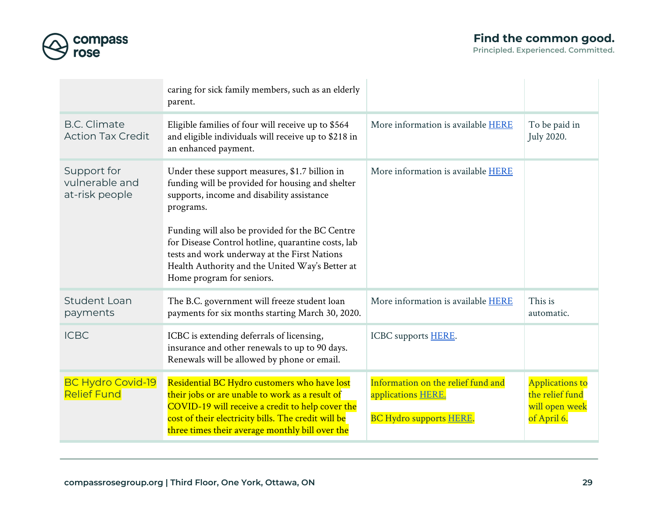

|                                                 | caring for sick family members, such as an elderly<br>parent.                                                                                                                                                                                                                                                                                                                                          |                                                                                            |                                                                            |
|-------------------------------------------------|--------------------------------------------------------------------------------------------------------------------------------------------------------------------------------------------------------------------------------------------------------------------------------------------------------------------------------------------------------------------------------------------------------|--------------------------------------------------------------------------------------------|----------------------------------------------------------------------------|
| <b>B.C. Climate</b><br><b>Action Tax Credit</b> | Eligible families of four will receive up to \$564<br>and eligible individuals will receive up to \$218 in<br>an enhanced payment.                                                                                                                                                                                                                                                                     | More information is available HERE                                                         | To be paid in<br>July 2020.                                                |
| Support for<br>vulnerable and<br>at-risk people | Under these support measures, \$1.7 billion in<br>funding will be provided for housing and shelter<br>supports, income and disability assistance<br>programs.<br>Funding will also be provided for the BC Centre<br>for Disease Control hotline, quarantine costs, lab<br>tests and work underway at the First Nations<br>Health Authority and the United Way's Better at<br>Home program for seniors. | More information is available HERE                                                         |                                                                            |
| <b>Student Loan</b><br>payments                 | The B.C. government will freeze student loan<br>payments for six months starting March 30, 2020.                                                                                                                                                                                                                                                                                                       | More information is available HERE                                                         | This is<br>automatic.                                                      |
| <b>ICBC</b>                                     | ICBC is extending deferrals of licensing,<br>insurance and other renewals to up to 90 days.<br>Renewals will be allowed by phone or email.                                                                                                                                                                                                                                                             | ICBC supports <b>HERE</b> .                                                                |                                                                            |
| <b>BC Hydro Covid-19</b><br><b>Relief Fund</b>  | Residential BC Hydro customers who have lost<br>their jobs or are unable to work as a result of<br>COVID-19 will receive a credit to help cover the<br>cost of their electricity bills. The credit will be<br>three times their average monthly bill over the                                                                                                                                          | Information on the relief fund and<br>applications HERE.<br><b>BC Hydro supports HERE.</b> | <b>Applications to</b><br>the relief fund<br>will open week<br>of April 6. |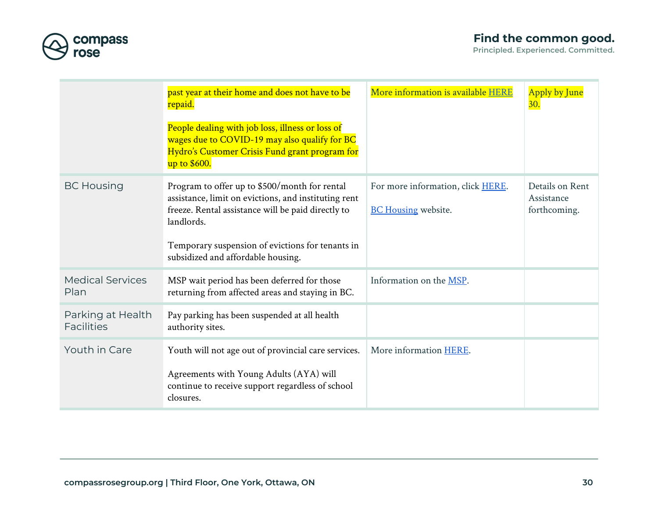

|                                        | past year at their home and does not have to be<br>repaid.                                                                                                                                                                                                          | More information is available HERE                              | Apply by June<br><b>30.</b>                   |
|----------------------------------------|---------------------------------------------------------------------------------------------------------------------------------------------------------------------------------------------------------------------------------------------------------------------|-----------------------------------------------------------------|-----------------------------------------------|
|                                        | People dealing with job loss, illness or loss of<br>wages due to COVID-19 may also qualify for BC<br>Hydro's Customer Crisis Fund grant program for<br>up to \$600.                                                                                                 |                                                                 |                                               |
| <b>BC Housing</b>                      | Program to offer up to \$500/month for rental<br>assistance, limit on evictions, and instituting rent<br>freeze. Rental assistance will be paid directly to<br>landlords.<br>Temporary suspension of evictions for tenants in<br>subsidized and affordable housing. | For more information, click HERE.<br><b>BC Housing website.</b> | Details on Rent<br>Assistance<br>forthcoming. |
| <b>Medical Services</b><br>Plan        | MSP wait period has been deferred for those<br>returning from affected areas and staying in BC.                                                                                                                                                                     | Information on the MSP.                                         |                                               |
| Parking at Health<br><b>Facilities</b> | Pay parking has been suspended at all health<br>authority sites.                                                                                                                                                                                                    |                                                                 |                                               |
| Youth in Care                          | Youth will not age out of provincial care services.<br>Agreements with Young Adults (AYA) will<br>continue to receive support regardless of school<br>closures.                                                                                                     | More information HERE.                                          |                                               |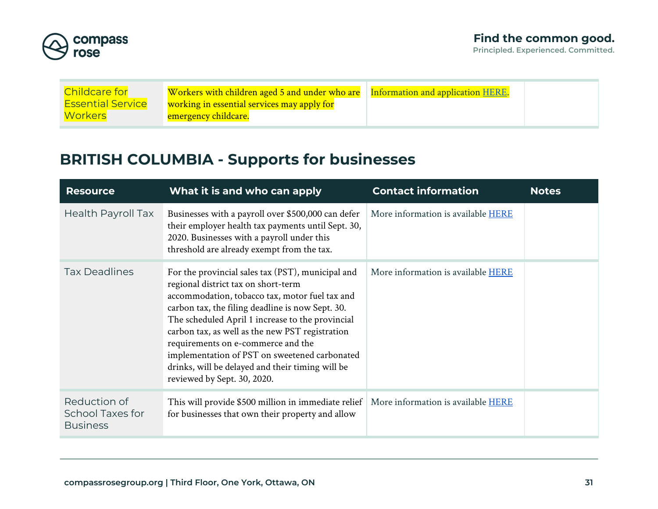

| <b>Childcare for</b>     | Workers with children aged 5 and under who are | Information and application HERE. |  |
|--------------------------|------------------------------------------------|-----------------------------------|--|
| <b>Essential Service</b> | working in essential services may apply for    |                                   |  |
| <b>Workers</b>           | emergency childcare.                           |                                   |  |

## <span id="page-30-0"></span>**BRITISH COLUMBIA - Supports for businesses**

| <b>Resource</b>                                            | What it is and who can apply                                                                                                                                                                                                                                                                                                                                                                                                                                                    | <b>Contact information</b>                | <b>Notes</b> |
|------------------------------------------------------------|---------------------------------------------------------------------------------------------------------------------------------------------------------------------------------------------------------------------------------------------------------------------------------------------------------------------------------------------------------------------------------------------------------------------------------------------------------------------------------|-------------------------------------------|--------------|
| <b>Health Payroll Tax</b>                                  | Businesses with a payroll over \$500,000 can defer<br>their employer health tax payments until Sept. 30,<br>2020. Businesses with a payroll under this<br>threshold are already exempt from the tax.                                                                                                                                                                                                                                                                            | More information is available HERE        |              |
| <b>Tax Deadlines</b>                                       | For the provincial sales tax (PST), municipal and<br>regional district tax on short-term<br>accommodation, tobacco tax, motor fuel tax and<br>carbon tax, the filing deadline is now Sept. 30.<br>The scheduled April 1 increase to the provincial<br>carbon tax, as well as the new PST registration<br>requirements on e-commerce and the<br>implementation of PST on sweetened carbonated<br>drinks, will be delayed and their timing will be<br>reviewed by Sept. 30, 2020. | More information is available HERE        |              |
| Reduction of<br><b>School Taxes for</b><br><b>Business</b> | This will provide \$500 million in immediate relief<br>for businesses that own their property and allow                                                                                                                                                                                                                                                                                                                                                                         | More information is available <b>HERE</b> |              |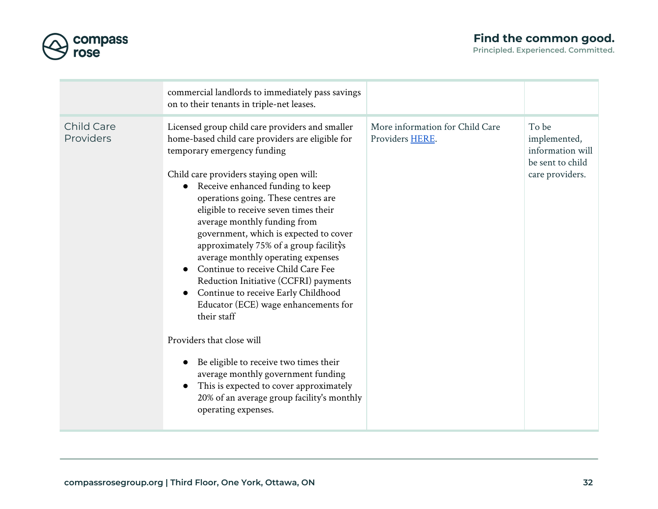

|                         | commercial landlords to immediately pass savings<br>on to their tenants in triple-net leases.                                                                                                                                                                                                                                                                                                                                                                                                                                                                                                                                                                                                                                                                                                                                                                         |                                                    |                                                                                  |
|-------------------------|-----------------------------------------------------------------------------------------------------------------------------------------------------------------------------------------------------------------------------------------------------------------------------------------------------------------------------------------------------------------------------------------------------------------------------------------------------------------------------------------------------------------------------------------------------------------------------------------------------------------------------------------------------------------------------------------------------------------------------------------------------------------------------------------------------------------------------------------------------------------------|----------------------------------------------------|----------------------------------------------------------------------------------|
| Child Care<br>Providers | Licensed group child care providers and smaller<br>home-based child care providers are eligible for<br>temporary emergency funding<br>Child care providers staying open will:<br>Receive enhanced funding to keep<br>operations going. These centres are<br>eligible to receive seven times their<br>average monthly funding from<br>government, which is expected to cover<br>approximately 75% of a group facilitys<br>average monthly operating expenses<br>Continue to receive Child Care Fee<br>Reduction Initiative (CCFRI) payments<br>Continue to receive Early Childhood<br>Educator (ECE) wage enhancements for<br>their staff<br>Providers that close will<br>Be eligible to receive two times their<br>average monthly government funding<br>This is expected to cover approximately<br>20% of an average group facility's monthly<br>operating expenses. | More information for Child Care<br>Providers HERE. | To be<br>implemented,<br>information will<br>be sent to child<br>care providers. |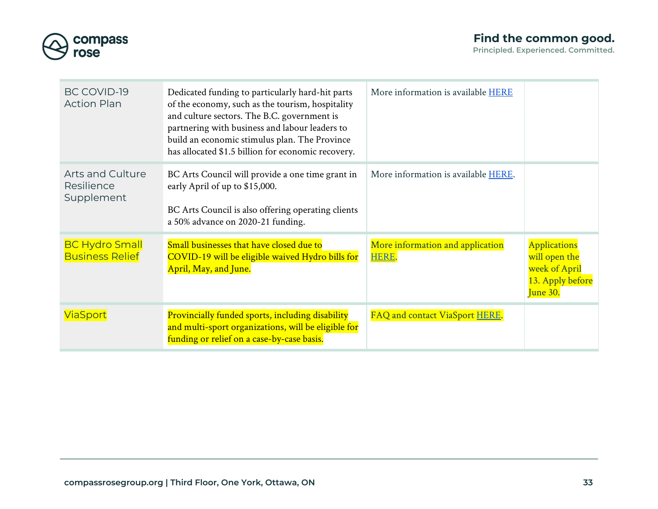

| BC COVID-19<br><b>Action Plan</b>                   | Dedicated funding to particularly hard-hit parts<br>of the economy, such as the tourism, hospitality<br>and culture sectors. The B.C. government is<br>partnering with business and labour leaders to<br>build an economic stimulus plan. The Province<br>has allocated \$1.5 billion for economic recovery. | More information is available <b>HERE</b> |                                                                                       |
|-----------------------------------------------------|--------------------------------------------------------------------------------------------------------------------------------------------------------------------------------------------------------------------------------------------------------------------------------------------------------------|-------------------------------------------|---------------------------------------------------------------------------------------|
| <b>Arts and Culture</b><br>Resilience<br>Supplement | BC Arts Council will provide a one time grant in<br>early April of up to \$15,000.<br>BC Arts Council is also offering operating clients<br>a 50% advance on 2020-21 funding.                                                                                                                                | More information is available HERE.       |                                                                                       |
| <b>BC Hydro Small</b><br><b>Business Relief</b>     | Small businesses that have closed due to<br>COVID-19 will be eligible waived Hydro bills for<br>April, May, and June.                                                                                                                                                                                        | More information and application<br>HERE. | <b>Applications</b><br>will open the<br>week of April<br>13. Apply before<br>June 30. |
| <b>ViaSport</b>                                     | Provincially funded sports, including disability<br>and multi-sport organizations, will be eligible for<br>funding or relief on a case-by-case basis.                                                                                                                                                        | FAQ and contact ViaSport HERE.            |                                                                                       |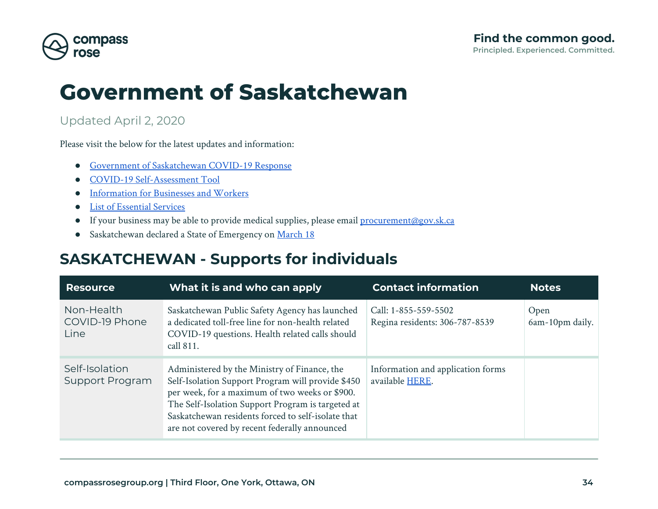

# **Government of Saskatchewan**

### Updated April 2, 2020

Please visit the below for the latest updates and information:

- [Government of Saskatchewan COVID-19 Response](https://www.saskatchewan.ca/government/health-care-administration-and-provider-resources/treatment-procedures-and-guidelines/emerging-public-health-issues/2019-novel-coronavirus)
- [COVID-19 Self-Assessment Tool](https://www.saskatchewan.ca/government/health-care-administration-and-provider-resources/treatment-procedures-and-guidelines/emerging-public-health-issues/2019-novel-coronavirus/covid-19-self-assessment)
- [Information for Businesses and Workers](https://www.saskatchewan.ca/government/health-care-administration-and-provider-resources/treatment-procedures-and-guidelines/emerging-public-health-issues/2019-novel-coronavirus/covid-19-information-for-businesses-and-workers)
- [List of Essential Services](https://www.documentcloud.org/documents/6819048-Critical-Public-Services-to-Address-COVID-19-and.html)
- If your business may be able to provide medical supplies, please email [procurement@gov.sk.ca](mailto:procurement@gov.sk.ca)
- Saskatchewan declared a State of Emergency on [March 18](https://www.saskatchewan.ca/government/news-and-media/2020/march/18/covid-19-state-of-emergency)

### <span id="page-33-0"></span>**SASKATCHEWAN - Supports for individuals**

| <b>Resource</b>                      | What it is and who can apply                                                                                                                                                                                                                                                                                    | <b>Contact information</b>                             | <b>Notes</b>            |
|--------------------------------------|-----------------------------------------------------------------------------------------------------------------------------------------------------------------------------------------------------------------------------------------------------------------------------------------------------------------|--------------------------------------------------------|-------------------------|
| Non-Health<br>COVID-19 Phone<br>Line | Saskatchewan Public Safety Agency has launched<br>a dedicated toll-free line for non-health related<br>COVID-19 questions. Health related calls should<br>call 811.                                                                                                                                             | Call: 1-855-559-5502<br>Regina residents: 306-787-8539 | Open<br>6am-10pm daily. |
| Self-Isolation<br>Support Program    | Administered by the Ministry of Finance, the<br>Self-Isolation Support Program will provide \$450<br>per week, for a maximum of two weeks or \$900.<br>The Self-Isolation Support Program is targeted at<br>Saskatchewan residents forced to self-isolate that<br>are not covered by recent federally announced | Information and application forms<br>available HERE.   |                         |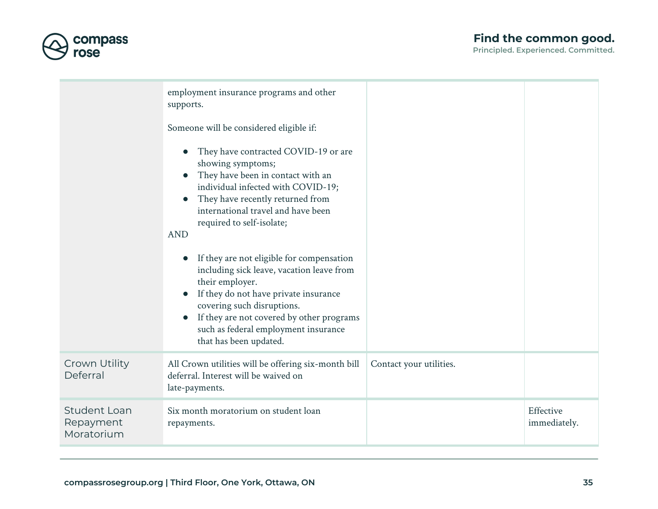### **Find the common good.**



|                                                | employment insurance programs and other<br>supports.<br>Someone will be considered eligible if:<br>They have contracted COVID-19 or are<br>showing symptoms;<br>They have been in contact with an<br>$\bullet$<br>individual infected with COVID-19;<br>They have recently returned from<br>international travel and have been<br>required to self-isolate;<br><b>AND</b><br>If they are not eligible for compensation<br>including sick leave, vacation leave from<br>their employer.<br>If they do not have private insurance<br>covering such disruptions.<br>If they are not covered by other programs<br>such as federal employment insurance<br>that has been updated. |                         |                           |
|------------------------------------------------|------------------------------------------------------------------------------------------------------------------------------------------------------------------------------------------------------------------------------------------------------------------------------------------------------------------------------------------------------------------------------------------------------------------------------------------------------------------------------------------------------------------------------------------------------------------------------------------------------------------------------------------------------------------------------|-------------------------|---------------------------|
| Crown Utility<br>Deferral                      | All Crown utilities will be offering six-month bill<br>deferral. Interest will be waived on<br>late-payments.                                                                                                                                                                                                                                                                                                                                                                                                                                                                                                                                                                | Contact your utilities. |                           |
| <b>Student Loan</b><br>Repayment<br>Moratorium | Six month moratorium on student loan<br>repayments.                                                                                                                                                                                                                                                                                                                                                                                                                                                                                                                                                                                                                          |                         | Effective<br>immediately. |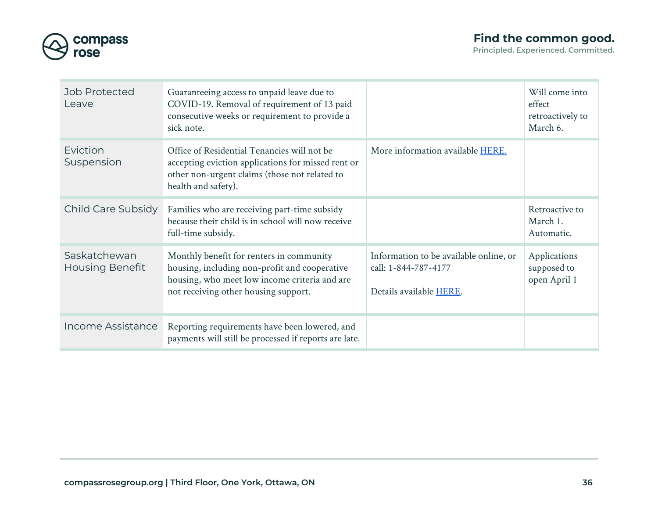

| Job Protected<br>Leave                 | Guaranteeing access to unpaid leave due to<br>COVID-19. Removal of requirement of 13 paid<br>consecutive weeks or requirement to provide a<br>sick note.                           |                                                                                           | Will come into<br>effect<br>retroactively to<br>March 6. |
|----------------------------------------|------------------------------------------------------------------------------------------------------------------------------------------------------------------------------------|-------------------------------------------------------------------------------------------|----------------------------------------------------------|
| Eviction<br>Suspension                 | Office of Residential Tenancies will not be<br>accepting eviction applications for missed rent or<br>other non-urgent claims (those not related to<br>health and safety).          | More information available HERE.                                                          |                                                          |
| Child Care Subsidy                     | Families who are receiving part-time subsidy<br>because their child is in school will now receive<br>full-time subsidy.                                                            |                                                                                           | Retroactive to<br>March 1.<br>Automatic.                 |
| Saskatchewan<br><b>Housing Benefit</b> | Monthly benefit for renters in community<br>housing, including non-profit and cooperative<br>housing, who meet low income criteria and are<br>not receiving other housing support. | Information to be available online, or<br>call: 1-844-787-4177<br>Details available HERE. | Applications<br>supposed to<br>open April 1              |
| Income Assistance                      | Reporting requirements have been lowered, and<br>payments will still be processed if reports are late.                                                                             |                                                                                           |                                                          |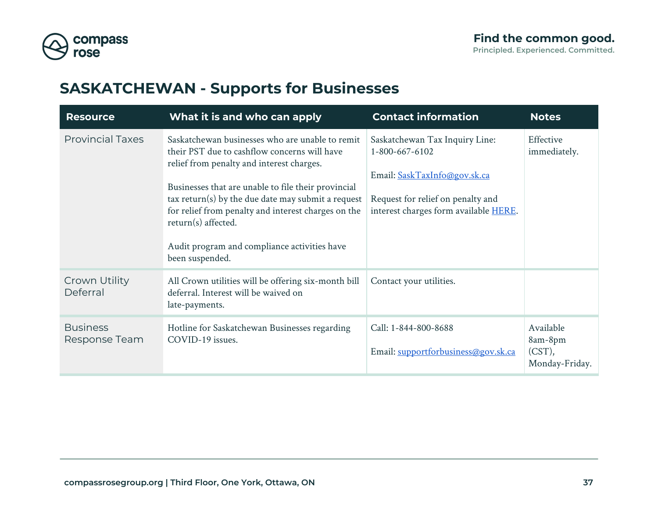

## <span id="page-36-0"></span>**SASKATCHEWAN - Supports for Businesses**

| <b>Resource</b>                  | What it is and who can apply                                                                                                                                                                                                                                                                                                                                                                              | <b>Contact information</b>                                                                                                                                     | <b>Notes</b>                                        |
|----------------------------------|-----------------------------------------------------------------------------------------------------------------------------------------------------------------------------------------------------------------------------------------------------------------------------------------------------------------------------------------------------------------------------------------------------------|----------------------------------------------------------------------------------------------------------------------------------------------------------------|-----------------------------------------------------|
| <b>Provincial Taxes</b>          | Saskatchewan businesses who are unable to remit<br>their PST due to cashflow concerns will have<br>relief from penalty and interest charges.<br>Businesses that are unable to file their provincial<br>$\arctan(s)$ by the due date may submit a request<br>for relief from penalty and interest charges on the<br>return(s) affected.<br>Audit program and compliance activities have<br>been suspended. | Saskatchewan Tax Inquiry Line:<br>1-800-667-6102<br>Email: SaskTaxInfo@gov.sk.ca<br>Request for relief on penalty and<br>interest charges form available HERE. | Effective<br>immediately.                           |
| Crown Utility<br>Deferral        | All Crown utilities will be offering six-month bill<br>deferral. Interest will be waived on<br>late-payments.                                                                                                                                                                                                                                                                                             | Contact your utilities.                                                                                                                                        |                                                     |
| <b>Business</b><br>Response Team | Hotline for Saskatchewan Businesses regarding<br>COVID-19 issues.                                                                                                                                                                                                                                                                                                                                         | Call: 1-844-800-8688<br>Email: supportforbusiness@gov.sk.ca                                                                                                    | Available<br>8am-8pm<br>$(CST)$ ,<br>Monday-Friday. |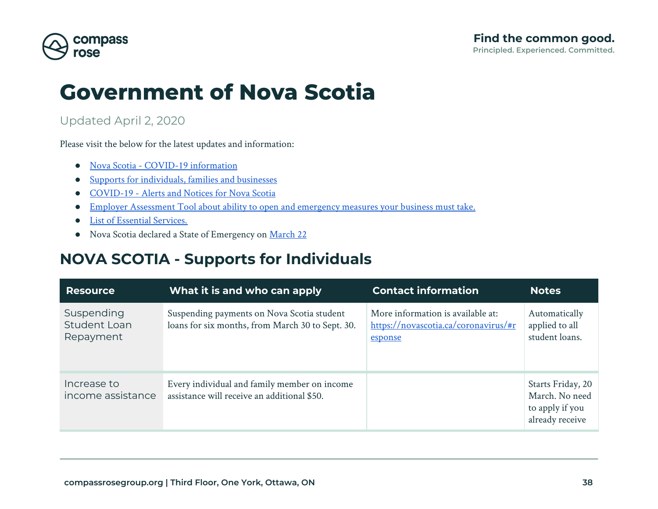

## **Government of Nova Scotia**

#### Updated April 2, 2020

Please visit the below for the latest updates and information:

- [Nova Scotia COVID-19 information](https://novascotia.ca/coronavirus/)
- [Supports for individuals, families and businesses](https://novascotia.ca/coronavirus/#support)
- [COVID-19 Alerts and Notices for Nova Scotia](https://novascotia.ca/coronavirus/#alerts)
- [Employer Assessment Tool about ability to open and emergency measures your business must take.](https://covid19-employer-assessment.novascotia.ca/en)
- [List of Essential Services.](https://novascotia.ca/news/release/?id=20200324003)
- Nova Scotia declared a State of Emergency on [March 22](https://novascotia.ca/news/release/?id=20200322001)

### <span id="page-37-0"></span>**NOVA SCOTIA - Supports for Individuals**

| <b>Resource</b>                         | What it is and who can apply                                                                   | <b>Contact information</b>                                                           | <b>Notes</b>                                                              |
|-----------------------------------------|------------------------------------------------------------------------------------------------|--------------------------------------------------------------------------------------|---------------------------------------------------------------------------|
| Suspending<br>Student Loan<br>Repayment | Suspending payments on Nova Scotia student<br>loans for six months, from March 30 to Sept. 30. | More information is available at:<br>https://novascotia.ca/coronavirus/#r<br>esponse | Automatically<br>applied to all<br>student loans.                         |
| Increase to<br>income assistance        | Every individual and family member on income<br>assistance will receive an additional \$50.    |                                                                                      | Starts Friday, 20<br>March. No need<br>to apply if you<br>already receive |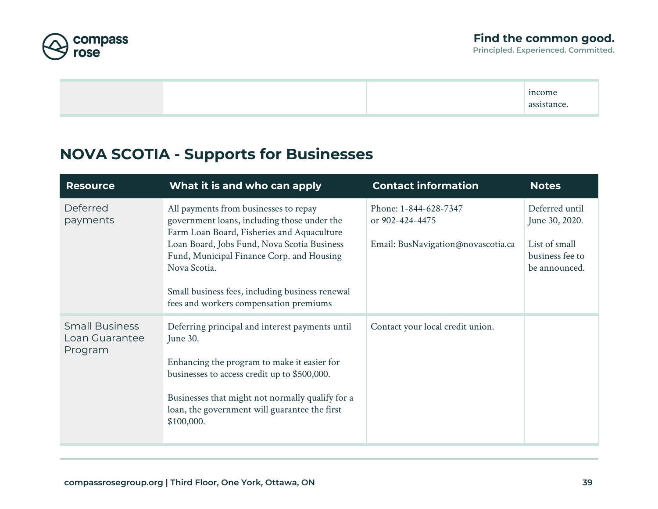

income assistance.

## <span id="page-38-0"></span>**NOVA SCOTIA - Supports for Businesses**

| <b>Resource</b>                                    | What it is and who can apply                                                                                                                                                                                                                                                                                                                | <b>Contact information</b>                                                     | <b>Notes</b>                                                                          |
|----------------------------------------------------|---------------------------------------------------------------------------------------------------------------------------------------------------------------------------------------------------------------------------------------------------------------------------------------------------------------------------------------------|--------------------------------------------------------------------------------|---------------------------------------------------------------------------------------|
| Deferred<br>payments                               | All payments from businesses to repay<br>government loans, including those under the<br>Farm Loan Board, Fisheries and Aquaculture<br>Loan Board, Jobs Fund, Nova Scotia Business<br>Fund, Municipal Finance Corp. and Housing<br>Nova Scotia.<br>Small business fees, including business renewal<br>fees and workers compensation premiums | Phone: 1-844-628-7347<br>or 902-424-4475<br>Email: BusNavigation@novascotia.ca | Deferred until<br>June 30, 2020.<br>List of small<br>business fee to<br>be announced. |
| <b>Small Business</b><br>Loan Guarantee<br>Program | Deferring principal and interest payments until<br>June 30.<br>Enhancing the program to make it easier for<br>businesses to access credit up to \$500,000.<br>Businesses that might not normally qualify for a<br>loan, the government will guarantee the first<br>\$100,000.                                                               | Contact your local credit union.                                               |                                                                                       |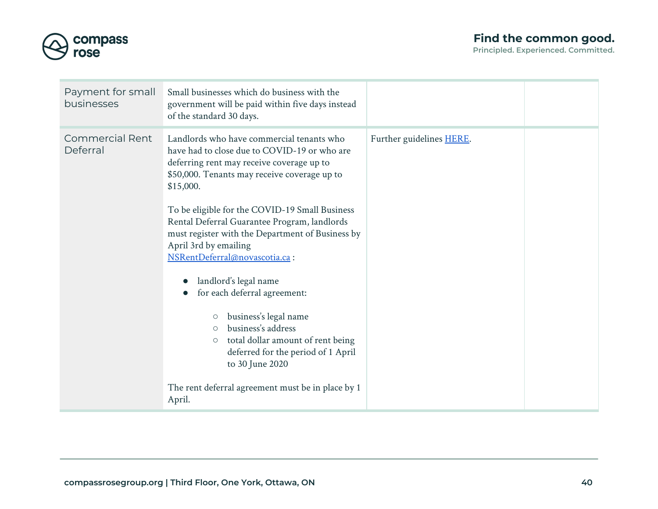

| Payment for small<br>businesses    | Small businesses which do business with the<br>government will be paid within five days instead<br>of the standard 30 days.                                                                                                                                                                                                                                                                                                                                                                                                                                                                                                                                                                                                                           |                          |  |
|------------------------------------|-------------------------------------------------------------------------------------------------------------------------------------------------------------------------------------------------------------------------------------------------------------------------------------------------------------------------------------------------------------------------------------------------------------------------------------------------------------------------------------------------------------------------------------------------------------------------------------------------------------------------------------------------------------------------------------------------------------------------------------------------------|--------------------------|--|
| <b>Commercial Rent</b><br>Deferral | Landlords who have commercial tenants who<br>have had to close due to COVID-19 or who are<br>deferring rent may receive coverage up to<br>\$50,000. Tenants may receive coverage up to<br>\$15,000.<br>To be eligible for the COVID-19 Small Business<br>Rental Deferral Guarantee Program, landlords<br>must register with the Department of Business by<br>April 3rd by emailing<br>NSRentDeferral@novascotia.ca:<br>landlord's legal name<br>for each deferral agreement:<br>$\bullet$<br>business's legal name<br>$\circlearrowright$<br>business's address<br>$\circ$<br>total dollar amount of rent being<br>$\bigcirc$<br>deferred for the period of 1 April<br>to 30 June 2020<br>The rent deferral agreement must be in place by 1<br>April. | Further guidelines HERE. |  |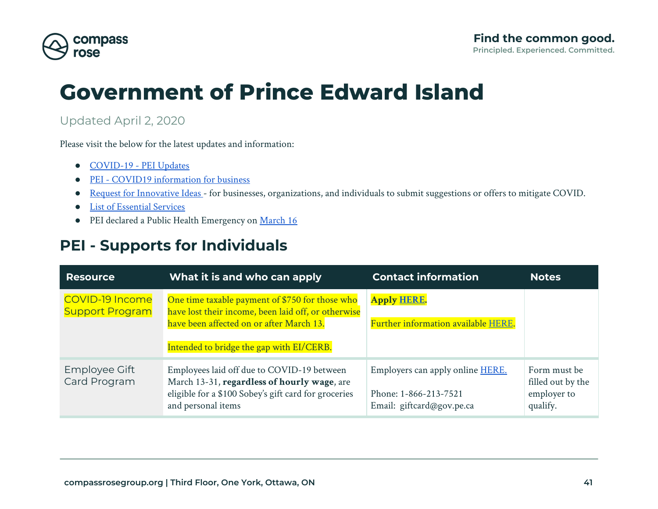

# **Government of Prince Edward Island**

### Updated April 2, 2020

Please visit the below for the latest updates and information:

- [COVID-19 PEI Updates](https://www.princeedwardisland.ca/en/topic/covid-19)
- [PEI COVID19 information for business](https://www.princeedwardisland.ca/en/topic/for-business)
- [Request for Innovative Ideas](https://www.princeedwardisland.ca/en/service/request-innovative-ideas-support-islanders-through-covid-19#utm_source=redirect&utm_medium=url&utm_campaignsourcedsolutions)  for businesses, organizations, and individuals to submit suggestions or offers to mitigate COVID.
- [List of Essential Services](https://www.princeedwardisland.ca/en/information/health-and-wellness/essential-and-non-essential-services-covid-19)
- PEI declared a Public Health Emergency on [March 16](https://www.princeedwardisland.ca/en/news/premier-announces-initial-financial-support-declares-public-health-emergency)

## <span id="page-40-0"></span>**PEI - Supports for Individuals**

| <b>Resource</b>                                  | What it is and who can apply                                                                                                                                                                   | <b>Contact information</b>                                                                     | <b>Notes</b>                                                 |
|--------------------------------------------------|------------------------------------------------------------------------------------------------------------------------------------------------------------------------------------------------|------------------------------------------------------------------------------------------------|--------------------------------------------------------------|
| <b>COVID-19 Income</b><br><b>Support Program</b> | One time taxable payment of \$750 for those who<br>have lost their income, been laid off, or otherwise<br>have been affected on or after March 13.<br>Intended to bridge the gap with EI/CERB. | <b>Apply HERE.</b><br>Further information available HERE.                                      |                                                              |
| Employee Gift<br>Card Program                    | Employees laid off due to COVID-19 between<br>March 13-31, regardless of hourly wage, are<br>eligible for a \$100 Sobey's gift card for groceries<br>and personal items                        | Employers can apply online <b>HERE</b> .<br>Phone: 1-866-213-7521<br>Email: giftcard@gov.pe.ca | Form must be<br>filled out by the<br>employer to<br>qualify. |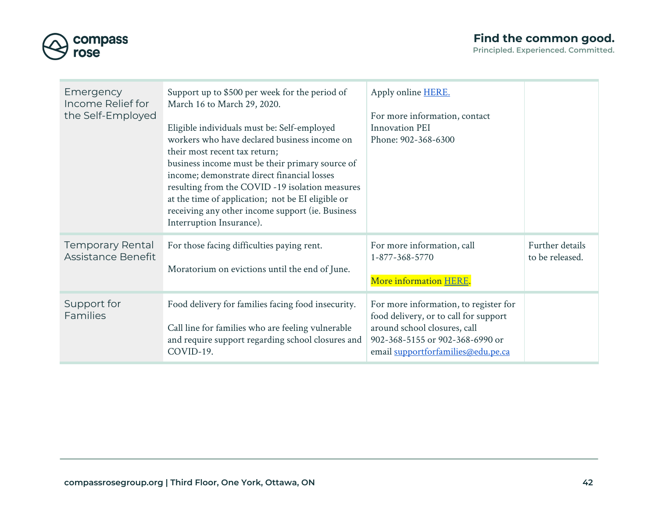

| Principled. Experienced. Committed. |
|-------------------------------------|
|-------------------------------------|

| Emergency<br>Income Relief for<br>the Self-Employed | Support up to \$500 per week for the period of<br>March 16 to March 29, 2020.<br>Eligible individuals must be: Self-employed<br>workers who have declared business income on<br>their most recent tax return;<br>business income must be their primary source of<br>income; demonstrate direct financial losses<br>resulting from the COVID -19 isolation measures<br>at the time of application; not be EI eligible or<br>receiving any other income support (ie. Business<br>Interruption Insurance). | Apply online <b>HERE</b> .<br>For more information, contact<br><b>Innovation PEI</b><br>Phone: 902-368-6300                                                                             |                                    |
|-----------------------------------------------------|---------------------------------------------------------------------------------------------------------------------------------------------------------------------------------------------------------------------------------------------------------------------------------------------------------------------------------------------------------------------------------------------------------------------------------------------------------------------------------------------------------|-----------------------------------------------------------------------------------------------------------------------------------------------------------------------------------------|------------------------------------|
| <b>Temporary Rental</b><br>Assistance Benefit       | For those facing difficulties paying rent.<br>Moratorium on evictions until the end of June.                                                                                                                                                                                                                                                                                                                                                                                                            | For more information, call<br>1-877-368-5770<br>More information HERE.                                                                                                                  | Further details<br>to be released. |
| Support for<br>Families                             | Food delivery for families facing food insecurity.<br>Call line for families who are feeling vulnerable<br>and require support regarding school closures and<br>COVID-19.                                                                                                                                                                                                                                                                                                                               | For more information, to register for<br>food delivery, or to call for support<br>around school closures, call<br>902-368-5155 or 902-368-6990 or<br>email supportforfamilies@edu.pe.ca |                                    |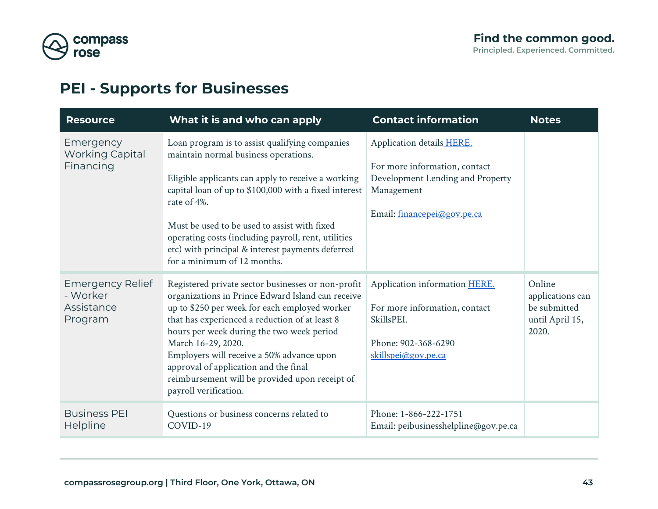

## <span id="page-42-0"></span>**PEI - Supports for Businesses**

| <b>Resource</b>                                              | What it is and who can apply                                                                                                                                                                                                                                                                                                                                                                                                                   | <b>Contact information</b>                                                                                                                  | <b>Notes</b>                                                           |
|--------------------------------------------------------------|------------------------------------------------------------------------------------------------------------------------------------------------------------------------------------------------------------------------------------------------------------------------------------------------------------------------------------------------------------------------------------------------------------------------------------------------|---------------------------------------------------------------------------------------------------------------------------------------------|------------------------------------------------------------------------|
| Emergency<br><b>Working Capital</b><br>Financing             | Loan program is to assist qualifying companies<br>maintain normal business operations.<br>Eligible applicants can apply to receive a working<br>capital loan of up to \$100,000 with a fixed interest<br>rate of 4%.<br>Must be used to be used to assist with fixed<br>operating costs (including payroll, rent, utilities<br>etc) with principal & interest payments deferred<br>for a minimum of 12 months.                                 | Application details HERE.<br>For more information, contact<br>Development Lending and Property<br>Management<br>Email: financepei@gov.pe.ca |                                                                        |
| <b>Emergency Relief</b><br>- Worker<br>Assistance<br>Program | Registered private sector businesses or non-profit<br>organizations in Prince Edward Island can receive<br>up to \$250 per week for each employed worker<br>that has experienced a reduction of at least 8<br>hours per week during the two week period<br>March 16-29, 2020.<br>Employers will receive a 50% advance upon<br>approval of application and the final<br>reimbursement will be provided upon receipt of<br>payroll verification. | Application information HERE.<br>For more information, contact<br>SkillsPEI.<br>Phone: 902-368-6290<br>skillspei@gov.pe.ca                  | Online<br>applications can<br>be submitted<br>until April 15,<br>2020. |
| <b>Business PEI</b><br>Helpline                              | Questions or business concerns related to<br>COVID-19                                                                                                                                                                                                                                                                                                                                                                                          | Phone: 1-866-222-1751<br>Email: peibusinesshelpline@gov.pe.ca                                                                               |                                                                        |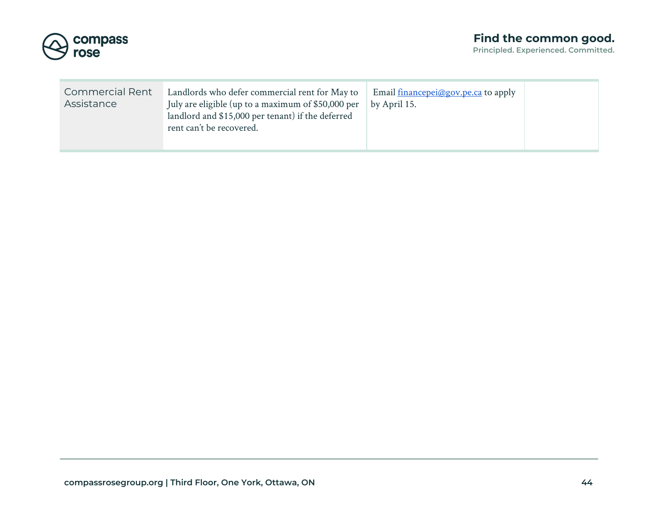

| <b>Commercial Rent</b><br>Landlords who defer commercial rent for May to<br>Assistance<br>July are eligible (up to a maximum of \$50,000 per<br>landlord and \$15,000 per tenant) if the deferred<br>rent can't be recovered. | Email <u>financepei@gov.pe.ca</u> to apply<br>by April 15. |
|-------------------------------------------------------------------------------------------------------------------------------------------------------------------------------------------------------------------------------|------------------------------------------------------------|
|-------------------------------------------------------------------------------------------------------------------------------------------------------------------------------------------------------------------------------|------------------------------------------------------------|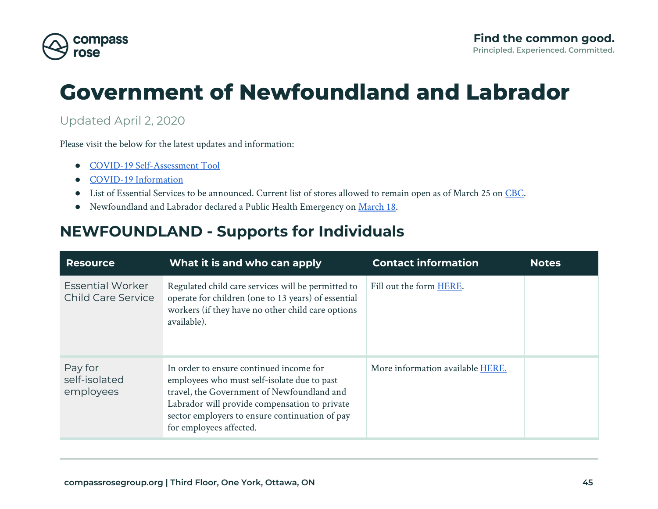

# **Government of Newfoundland and Labrador**

#### Updated April 2, 2020

Please visit the below for the latest updates and information:

- [COVID-19 Self-Assessment Tool](https://www.811healthline.ca/covid-19-self-assessment/)
- [COVID-19 Information](https://www.gov.nl.ca/covid-19/)
- List of Essential Services to be announced. Current list of stores allowed to remain open as of March 25 on [CBC.](https://www.cbc.ca/news/canada/newfoundland-labrador/list-of-stores-essential-newfoundland-labrador-1.5509309)
- Newfoundland and Labrador declared a Public Health Emergency on [March 18](https://www.gov.nl.ca/covid-19/files/Special-Measures-Order-Updated-March-24-2020.pdf).

## <span id="page-44-0"></span>**NEWFOUNDLAND - Supports for Individuals**

| <b>Resource</b>                               | What it is and who can apply                                                                                                                                                                                                                                       | <b>Contact information</b>       | <b>Notes</b> |
|-----------------------------------------------|--------------------------------------------------------------------------------------------------------------------------------------------------------------------------------------------------------------------------------------------------------------------|----------------------------------|--------------|
| <b>Essential Worker</b><br>Child Care Service | Regulated child care services will be permitted to<br>operate for children (one to 13 years) of essential<br>workers (if they have no other child care options<br>available).                                                                                      | Fill out the form HERE.          |              |
| Pay for<br>self-isolated<br>employees         | In order to ensure continued income for<br>employees who must self-isolate due to past<br>travel, the Government of Newfoundland and<br>Labrador will provide compensation to private<br>sector employers to ensure continuation of pay<br>for employees affected. | More information available HERE. |              |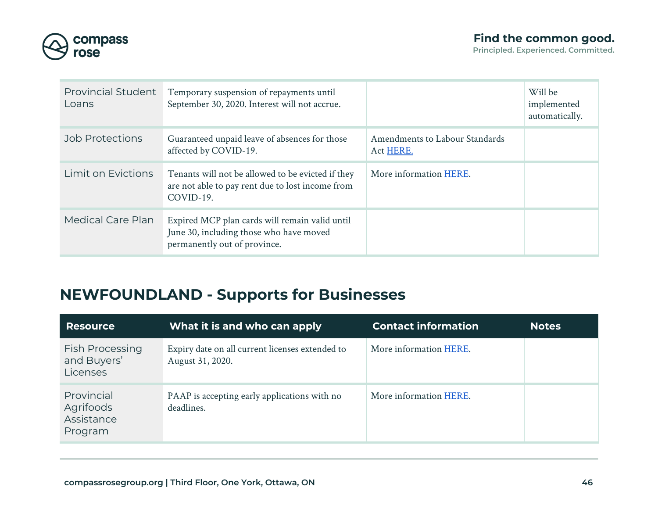

| <b>Provincial Student</b><br>Loans | Temporary suspension of repayments until<br>September 30, 2020. Interest will not accrue.                                 |                                             | Will be<br>implemented<br>automatically. |
|------------------------------------|---------------------------------------------------------------------------------------------------------------------------|---------------------------------------------|------------------------------------------|
| Job Protections                    | Guaranteed unpaid leave of absences for those<br>affected by COVID-19.                                                    | Amendments to Labour Standards<br>Act HERE. |                                          |
| Limit on Evictions                 | Tenants will not be allowed to be evicted if they<br>are not able to pay rent due to lost income from<br>COVID-19.        | More information HERE.                      |                                          |
| <b>Medical Care Plan</b>           | Expired MCP plan cards will remain valid until<br>June 30, including those who have moved<br>permanently out of province. |                                             |                                          |

## <span id="page-45-0"></span>**NEWFOUNDLAND - Supports for Businesses**

| <b>Resource</b>                                   | What it is and who can apply                                        | <b>Contact information</b> | <b>Notes</b> |
|---------------------------------------------------|---------------------------------------------------------------------|----------------------------|--------------|
| <b>Fish Processing</b><br>and Buyers'<br>Licenses | Expiry date on all current licenses extended to<br>August 31, 2020. | More information HERE.     |              |
| Provincial<br>Agrifoods<br>Assistance<br>Program  | PAAP is accepting early applications with no<br>deadlines.          | More information HERE.     |              |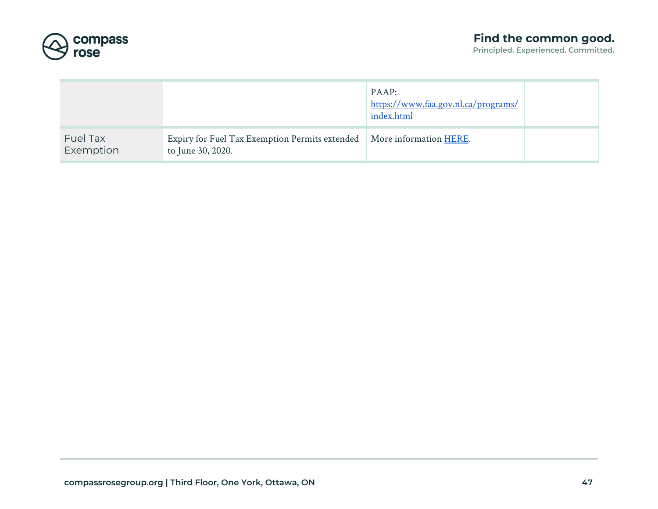

|                       |                                                                     | PAAP:<br>https://www.faa.gov.nl.ca/programs/<br>index.html |  |
|-----------------------|---------------------------------------------------------------------|------------------------------------------------------------|--|
| Fuel Tax<br>Exemption | Expiry for Fuel Tax Exemption Permits extended<br>to June 30, 2020. | More information HERE.                                     |  |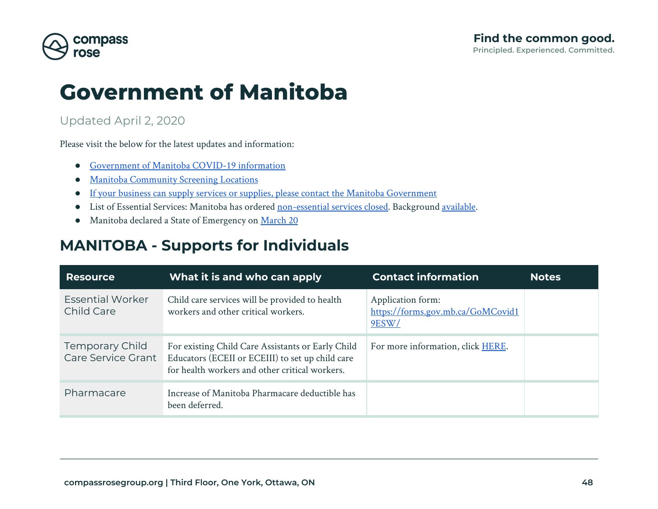

## **Government of Manitoba**

### Updated April 2, 2020

Please visit the below for the latest updates and information:

- [Government of Manitoba COVID-19 information](https://manitoba.ca/covid19/)
- [Manitoba Community Screening Locations](https://manitoba.ca/covid19/locations.html)
- [If your business can supply services or supplies, please contact the Manitoba Government](https://forms.gov.mb.ca/GoMCovid19/)
- List of Essential Services: Manitoba has ordered [non-essential services closed](https://news.gov.mb.ca/news/index.html?item=47337&posted=2020-03-30). Background [available](https://news.gov.mb.ca/asset_library/en/newslinks/2020/03/BG-PHA_-_COVID-19-PR.pdf).
- Manitoba declared a State of Emergency on [March 20](https://manitoba.ca/covid19/soe.html)

## <span id="page-47-0"></span>**MANITOBA - Supports for Individuals**

| <b>Resource</b>                       | What it is and who can apply                                                                                                                            | <b>Contact information</b>                                      | <b>Notes</b> |
|---------------------------------------|---------------------------------------------------------------------------------------------------------------------------------------------------------|-----------------------------------------------------------------|--------------|
| <b>Essential Worker</b><br>Child Care | Child care services will be provided to health<br>workers and other critical workers.                                                                   | Application form:<br>https://forms.gov.mb.ca/GoMCovid1<br>9ESW/ |              |
| Temporary Child<br>Care Service Grant | For existing Child Care Assistants or Early Child<br>Educators (ECEII or ECEIII) to set up child care<br>for health workers and other critical workers. | For more information, click HERE.                               |              |
| Pharmacare                            | Increase of Manitoba Pharmacare deductible has<br>been deferred.                                                                                        |                                                                 |              |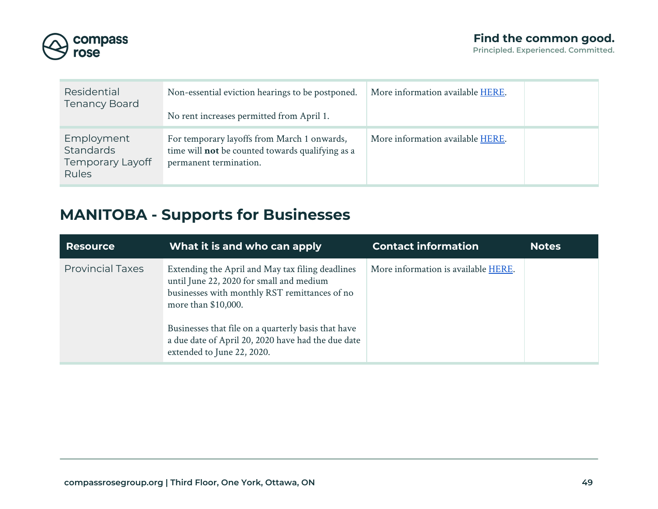

| Residential<br><b>Tenancy Board</b>                  | Non-essential eviction hearings to be postponed.<br>No rent increases permitted from April 1.                             | More information available HERE. |  |
|------------------------------------------------------|---------------------------------------------------------------------------------------------------------------------------|----------------------------------|--|
| Employment<br>Standards<br>Temporary Layoff<br>Rules | For temporary layoffs from March 1 onwards,<br>time will not be counted towards qualifying as a<br>permanent termination. | More information available HERE. |  |

## <span id="page-48-0"></span>**MANITOBA - Supports for Businesses**

| <b>Resource</b>         | What it is and who can apply                                                                                                                                                                                                                                                                                    | <b>Contact information</b>          | <b>Notes</b> |
|-------------------------|-----------------------------------------------------------------------------------------------------------------------------------------------------------------------------------------------------------------------------------------------------------------------------------------------------------------|-------------------------------------|--------------|
| <b>Provincial Taxes</b> | Extending the April and May tax filing deadlines<br>until June 22, 2020 for small and medium<br>businesses with monthly RST remittances of no<br>more than \$10,000.<br>Businesses that file on a quarterly basis that have<br>a due date of April 20, 2020 have had the due date<br>extended to June 22, 2020. | More information is available HERE. |              |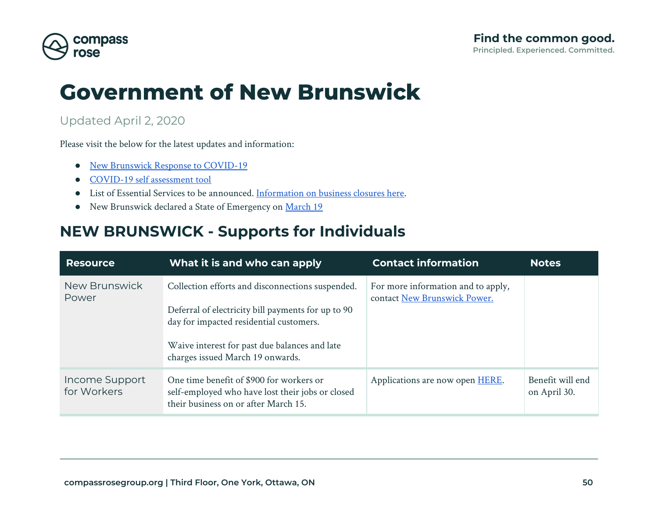

# **Government of New Brunswick**

### Updated April 2, 2020

Please visit the below for the latest updates and information:

- [New Brunswick Response to COVID-19](https://www2.gnb.ca/content/gnb/en/departments/ocmoh/cdc/content/respiratory_diseases/coronavirus.html)
- [COVID-19 self assessment tool](https://www2.gnb.ca/content/gnb/en/departments/ocmoh/cdc/content/respiratory_diseases/coronavirus/coronavirusexposure.html#/app/symptom-checker/guides/399/what-to-do)
- List of Essential Services to be announced. [Information on business closures here.](https://www2.gnb.ca/content/gnb/en/news/news_release.2020.03.0139.html)
- New Brunswick declared a State of Emergency on [March 19](https://www2.gnb.ca/content/gnb/en/news/news_release.2020.03.0139.html)

## <span id="page-49-0"></span>**NEW BRUNSWICK - Supports for Individuals**

| <b>Resource</b>               | What it is and who can apply                                                                                                                                                                                                           | <b>Contact information</b>                                         | <b>Notes</b>                     |
|-------------------------------|----------------------------------------------------------------------------------------------------------------------------------------------------------------------------------------------------------------------------------------|--------------------------------------------------------------------|----------------------------------|
| <b>New Brunswick</b><br>Power | Collection efforts and disconnections suspended.<br>Deferral of electricity bill payments for up to 90<br>day for impacted residential customers.<br>Waive interest for past due balances and late<br>charges issued March 19 onwards. | For more information and to apply,<br>contact New Brunswick Power. |                                  |
| Income Support<br>for Workers | One time benefit of \$900 for workers or<br>self-employed who have lost their jobs or closed<br>their business on or after March 15.                                                                                                   | Applications are now open HERE.                                    | Benefit will end<br>on April 30. |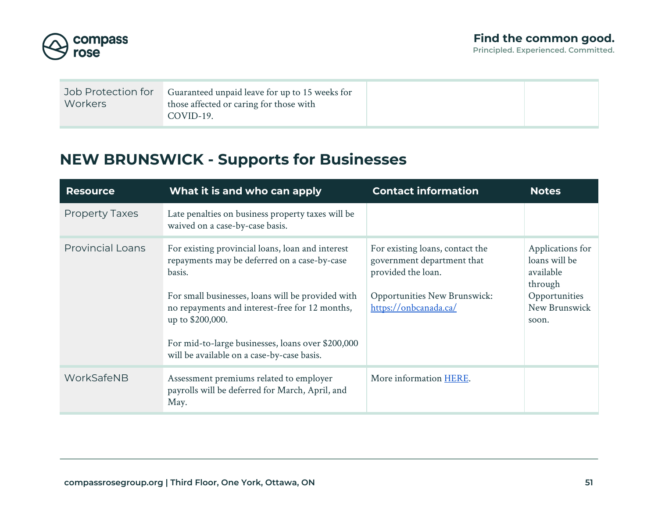

| Job Protection for<br>Workers | Guaranteed unpaid leave for up to 15 weeks for<br>those affected or caring for those with<br>COVID-19. |  |
|-------------------------------|--------------------------------------------------------------------------------------------------------|--|
|                               |                                                                                                        |  |

## <span id="page-50-0"></span>**NEW BRUNSWICK - Supports for Businesses**

| <b>Resource</b>         | What it is and who can apply                                                                                                                                                                                                                                                                                                             | <b>Contact information</b>                                                                                                                          | <b>Notes</b>                                                                                         |
|-------------------------|------------------------------------------------------------------------------------------------------------------------------------------------------------------------------------------------------------------------------------------------------------------------------------------------------------------------------------------|-----------------------------------------------------------------------------------------------------------------------------------------------------|------------------------------------------------------------------------------------------------------|
| <b>Property Taxes</b>   | Late penalties on business property taxes will be<br>waived on a case-by-case basis.                                                                                                                                                                                                                                                     |                                                                                                                                                     |                                                                                                      |
| <b>Provincial Loans</b> | For existing provincial loans, loan and interest<br>repayments may be deferred on a case-by-case<br>basis.<br>For small businesses, loans will be provided with<br>no repayments and interest-free for 12 months,<br>up to \$200,000.<br>For mid-to-large businesses, loans over \$200,000<br>will be available on a case-by-case basis. | For existing loans, contact the<br>government department that<br>provided the loan.<br><b>Opportunities New Brunswick:</b><br>https://onbcanada.ca/ | Applications for<br>loans will be<br>available<br>through<br>Opportunities<br>New Brunswick<br>soon. |
| WorkSafeNB              | Assessment premiums related to employer<br>payrolls will be deferred for March, April, and<br>May.                                                                                                                                                                                                                                       | More information HERE.                                                                                                                              |                                                                                                      |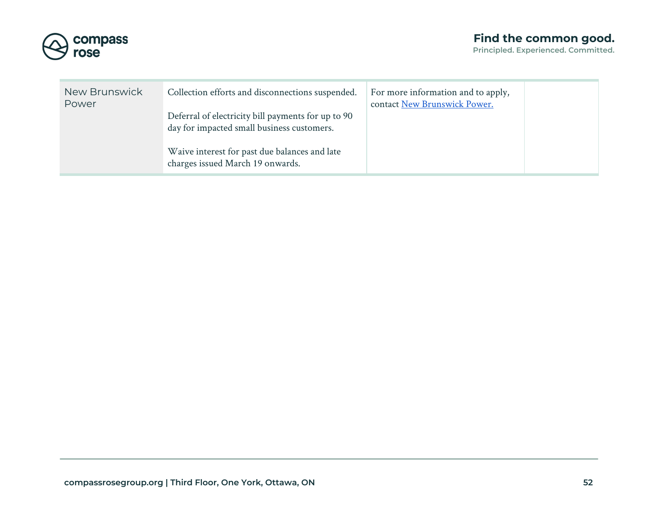

| New Brunswick<br>Power | Collection efforts and disconnections suspended.                                                 | For more information and to apply,<br>contact New Brunswick Power. |  |
|------------------------|--------------------------------------------------------------------------------------------------|--------------------------------------------------------------------|--|
|                        | Deferral of electricity bill payments for up to 90<br>day for impacted small business customers. |                                                                    |  |
|                        | Waive interest for past due balances and late<br>charges issued March 19 onwards.                |                                                                    |  |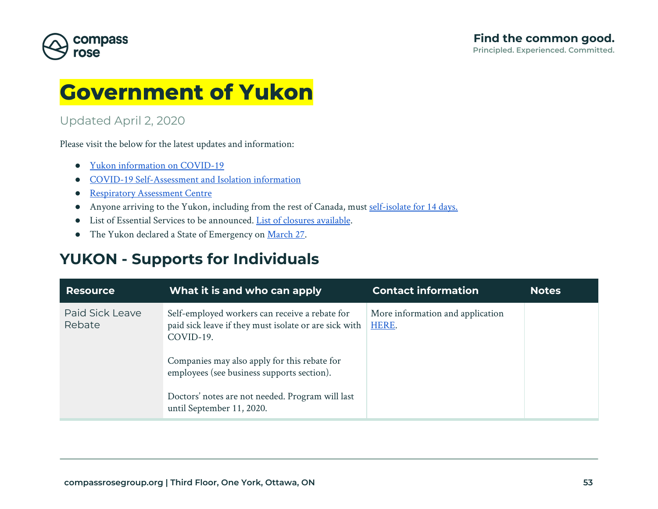

## **Government of Yukon**

### Updated April 2, 2020

Please visit the below for the latest updates and information:

- [Yukon information on COVID-19](https://yukon.ca/covid-19)
- [COVID-19 Self-Assessment and Isolation information](https://service.yukon.ca/en/covid-19-self-assessment/)
- [Respiratory Assessment Centre](https://yukon.ca/en/find-respiratory-assessment-centre)
- Anyone arriving to the Yukon, including from the rest of Canada, must [self-isolate for 14 days.](https://yukon.ca/en/health-and-wellness/covid-19/notice-miners-arriving-yukon-work)
- List of Essential Services to be announced. [List of closures available.](https://yukon.ca/en/health-and-wellness/covid-19/closures-cancellations-and-restricted-facility-access)
- The Yukon declared a State of Emergency on [March 27.](https://yukon.ca/en/news/yukon-declares-state-emergency-response-covid-19)

## <span id="page-52-0"></span>**YUKON - Supports for Individuals**

| <b>Resource</b>           | What it is and who can apply                                                                                                                                                                                                                                                                        | <b>Contact information</b>                | <b>Notes</b> |
|---------------------------|-----------------------------------------------------------------------------------------------------------------------------------------------------------------------------------------------------------------------------------------------------------------------------------------------------|-------------------------------------------|--------------|
| Paid Sick Leave<br>Rebate | Self-employed workers can receive a rebate for<br>paid sick leave if they must isolate or are sick with<br>COVID-19.<br>Companies may also apply for this rebate for<br>employees (see business supports section).<br>Doctors' notes are not needed. Program will last<br>until September 11, 2020. | More information and application<br>HERE. |              |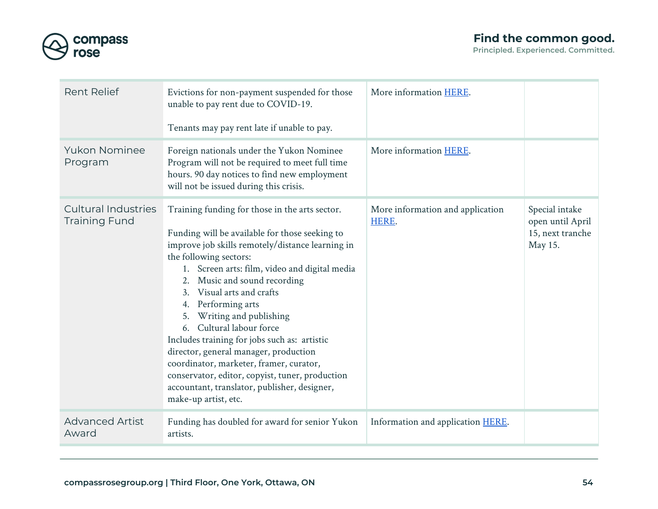

| <b>Rent Relief</b>                                 | Evictions for non-payment suspended for those<br>unable to pay rent due to COVID-19.<br>Tenants may pay rent late if unable to pay.                                                                                                                                                                                                                                                                                                                                                                                                                                                                                                              | More information HERE.                    |                                                                   |
|----------------------------------------------------|--------------------------------------------------------------------------------------------------------------------------------------------------------------------------------------------------------------------------------------------------------------------------------------------------------------------------------------------------------------------------------------------------------------------------------------------------------------------------------------------------------------------------------------------------------------------------------------------------------------------------------------------------|-------------------------------------------|-------------------------------------------------------------------|
| <b>Yukon Nominee</b><br>Program                    | Foreign nationals under the Yukon Nominee<br>Program will not be required to meet full time<br>hours. 90 day notices to find new employment<br>will not be issued during this crisis.                                                                                                                                                                                                                                                                                                                                                                                                                                                            | More information HERE.                    |                                                                   |
| <b>Cultural Industries</b><br><b>Training Fund</b> | Training funding for those in the arts sector.<br>Funding will be available for those seeking to<br>improve job skills remotely/distance learning in<br>the following sectors:<br>1. Screen arts: film, video and digital media<br>2. Music and sound recording<br>Visual arts and crafts<br>Performing arts<br>4.<br>Writing and publishing<br>5.<br>Cultural labour force<br>6.<br>Includes training for jobs such as: artistic<br>director, general manager, production<br>coordinator, marketer, framer, curator,<br>conservator, editor, copyist, tuner, production<br>accountant, translator, publisher, designer,<br>make-up artist, etc. | More information and application<br>HERE. | Special intake<br>open until April<br>15, next tranche<br>May 15. |
| <b>Advanced Artist</b><br>Award                    | Funding has doubled for award for senior Yukon<br>artists.                                                                                                                                                                                                                                                                                                                                                                                                                                                                                                                                                                                       | Information and application <b>HERE</b> . |                                                                   |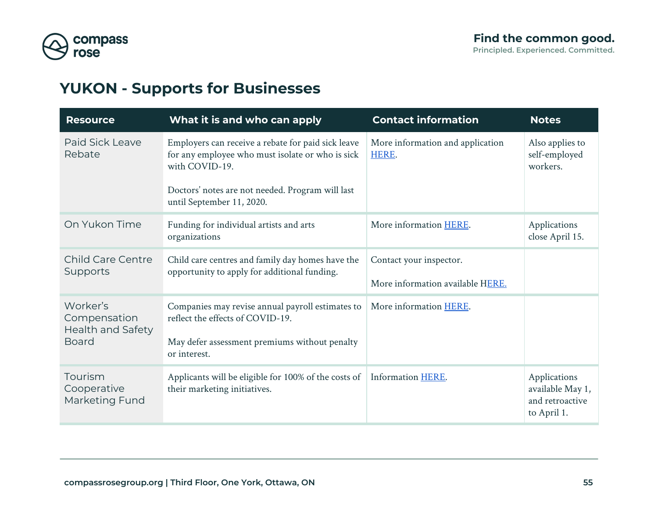

## <span id="page-54-0"></span>**YUKON - Supports for Businesses**

| <b>Resource</b>                                                      | What it is and who can apply                                                                                                                                                                              | <b>Contact information</b>                                  | <b>Notes</b>                                                       |  |
|----------------------------------------------------------------------|-----------------------------------------------------------------------------------------------------------------------------------------------------------------------------------------------------------|-------------------------------------------------------------|--------------------------------------------------------------------|--|
| Paid Sick Leave<br>Rebate                                            | Employers can receive a rebate for paid sick leave<br>for any employee who must isolate or who is sick<br>with COVID-19.<br>Doctors' notes are not needed. Program will last<br>until September 11, 2020. | More information and application<br>HERE.                   | Also applies to<br>self-employed<br>workers.                       |  |
| On Yukon Time                                                        | Funding for individual artists and arts<br>More information HERE.<br>organizations                                                                                                                        |                                                             | Applications<br>close April 15.                                    |  |
| <b>Child Care Centre</b><br>Supports                                 | Child care centres and family day homes have the<br>opportunity to apply for additional funding.                                                                                                          | Contact your inspector.<br>More information available HERE. |                                                                    |  |
| Worker's<br>Compensation<br><b>Health and Safety</b><br><b>Board</b> | Companies may revise annual payroll estimates to<br>reflect the effects of COVID-19.<br>May defer assessment premiums without penalty<br>or interest.                                                     | More information HERE.                                      |                                                                    |  |
| Tourism<br>Cooperative<br>Marketing Fund                             | Applicants will be eligible for 100% of the costs of<br>their marketing initiatives.                                                                                                                      | Information HERE.                                           | Applications<br>available May 1,<br>and retroactive<br>to April 1. |  |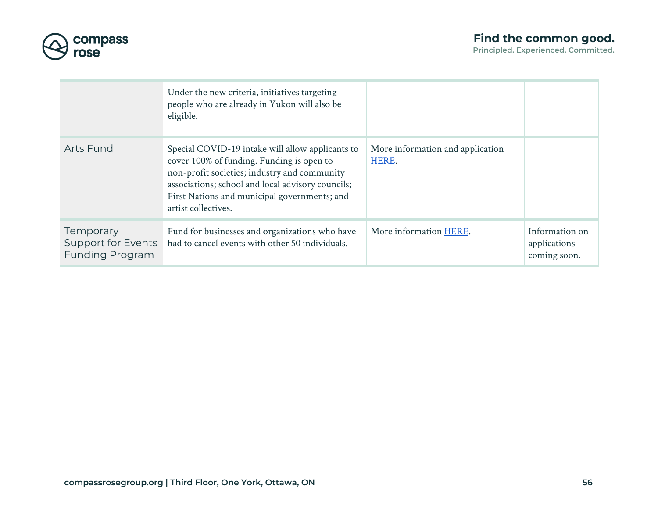

|                                                                  | Under the new criteria, initiatives targeting<br>people who are already in Yukon will also be<br>eligible.                                                                                                                                                                |                                           |                                                |
|------------------------------------------------------------------|---------------------------------------------------------------------------------------------------------------------------------------------------------------------------------------------------------------------------------------------------------------------------|-------------------------------------------|------------------------------------------------|
| <b>Arts Fund</b>                                                 | Special COVID-19 intake will allow applicants to<br>cover 100% of funding. Funding is open to<br>non-profit societies; industry and community<br>associations; school and local advisory councils;<br>First Nations and municipal governments; and<br>artist collectives. | More information and application<br>HERE. |                                                |
| <b>Temporary</b><br>Support for Events<br><b>Funding Program</b> | Fund for businesses and organizations who have<br>had to cancel events with other 50 individuals.                                                                                                                                                                         | More information HERE.                    | Information on<br>applications<br>coming soon. |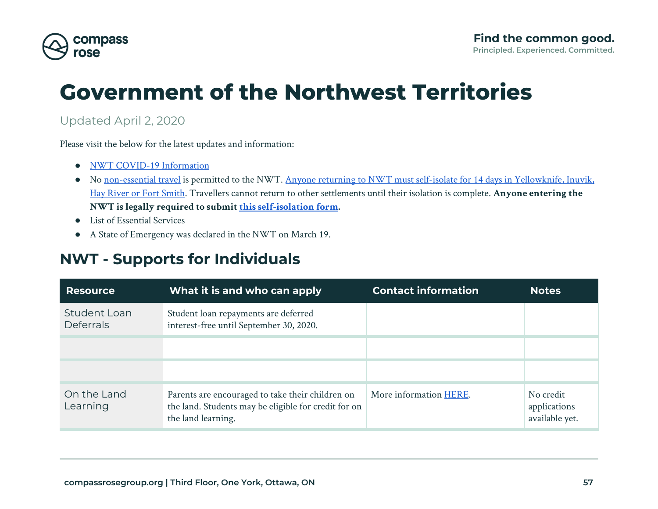

# **Government of the Northwest Territories**

### Updated April 2, 2020

Please visit the below for the latest updates and information:

- [NWT COVID-19 Information](https://www.hss.gov.nt.ca/en/services/coronavirus-disease-covid-19)
- No [non-essential travel](https://www.hss.gov.nt.ca/en/services/coronavirus-disease-covid-19/workers-exempt-travel-restrictions) is permitted to the NWT. [Anyone returning to NWT must self-isolate for 14 days in Yellowknife, Inuvik,](https://www.hss.gov.nt.ca/en/services/coronavirus-disease-covid-19/information-travellers) [Hay River or Fort Smith.](https://www.hss.gov.nt.ca/en/services/coronavirus-disease-covid-19/information-travellers) Travellers cannot return to other settlements until their isolation is complete. **Anyone entering the NWT is legally required to submit [this self-isolation form](https://app.smartsheet.com/b/form/efb9196c2b0a4571854a4418f0818f63).**
- List of Essential Services
- A State of Emergency was declared in the NWT on March 19.

## **NWT - Supports for Individuals**

| <b>Resource</b>                  | What it is and who can apply                                                                                                   | <b>Contact information</b> | <b>Notes</b>                                |
|----------------------------------|--------------------------------------------------------------------------------------------------------------------------------|----------------------------|---------------------------------------------|
| Student Loan<br><b>Deferrals</b> | Student loan repayments are deferred<br>interest-free until September 30, 2020.                                                |                            |                                             |
|                                  |                                                                                                                                |                            |                                             |
|                                  |                                                                                                                                |                            |                                             |
| On the Land<br>Learning          | Parents are encouraged to take their children on<br>the land. Students may be eligible for credit for on<br>the land learning. | More information HERE.     | No credit<br>applications<br>available yet. |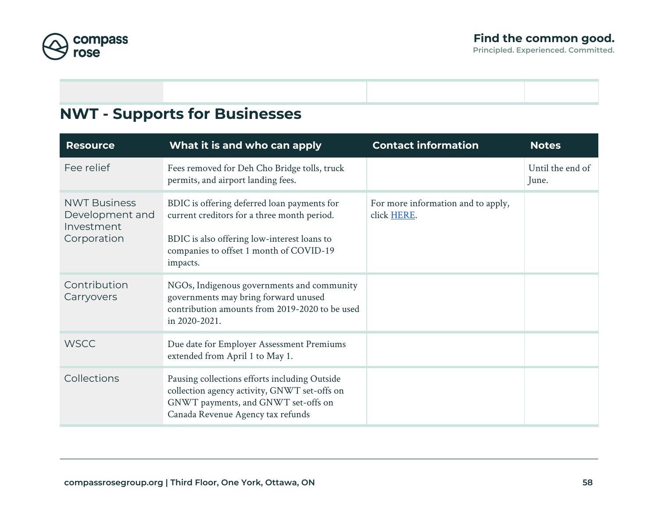

### **NWT - Supports for Businesses**

| <b>Resource</b>                                                     | What it is and who can apply                                                                                                                                                                     | <b>Contact information</b>                        | <b>Notes</b>              |
|---------------------------------------------------------------------|--------------------------------------------------------------------------------------------------------------------------------------------------------------------------------------------------|---------------------------------------------------|---------------------------|
| Fee relief                                                          | Fees removed for Deh Cho Bridge tolls, truck<br>permits, and airport landing fees.                                                                                                               |                                                   | Until the end of<br>June. |
| <b>NWT Business</b><br>Development and<br>Investment<br>Corporation | BDIC is offering deferred loan payments for<br>current creditors for a three month period.<br>BDIC is also offering low-interest loans to<br>companies to offset 1 month of COVID-19<br>impacts. | For more information and to apply,<br>click HERE. |                           |
| Contribution<br>Carryovers                                          | NGOs, Indigenous governments and community<br>governments may bring forward unused<br>contribution amounts from 2019-2020 to be used<br>in 2020-2021.                                            |                                                   |                           |
| <b>WSCC</b>                                                         | Due date for Employer Assessment Premiums<br>extended from April 1 to May 1.                                                                                                                     |                                                   |                           |
| Collections                                                         | Pausing collections efforts including Outside<br>collection agency activity, GNWT set-offs on<br>GNWT payments, and GNWT set-offs on<br>Canada Revenue Agency tax refunds                        |                                                   |                           |